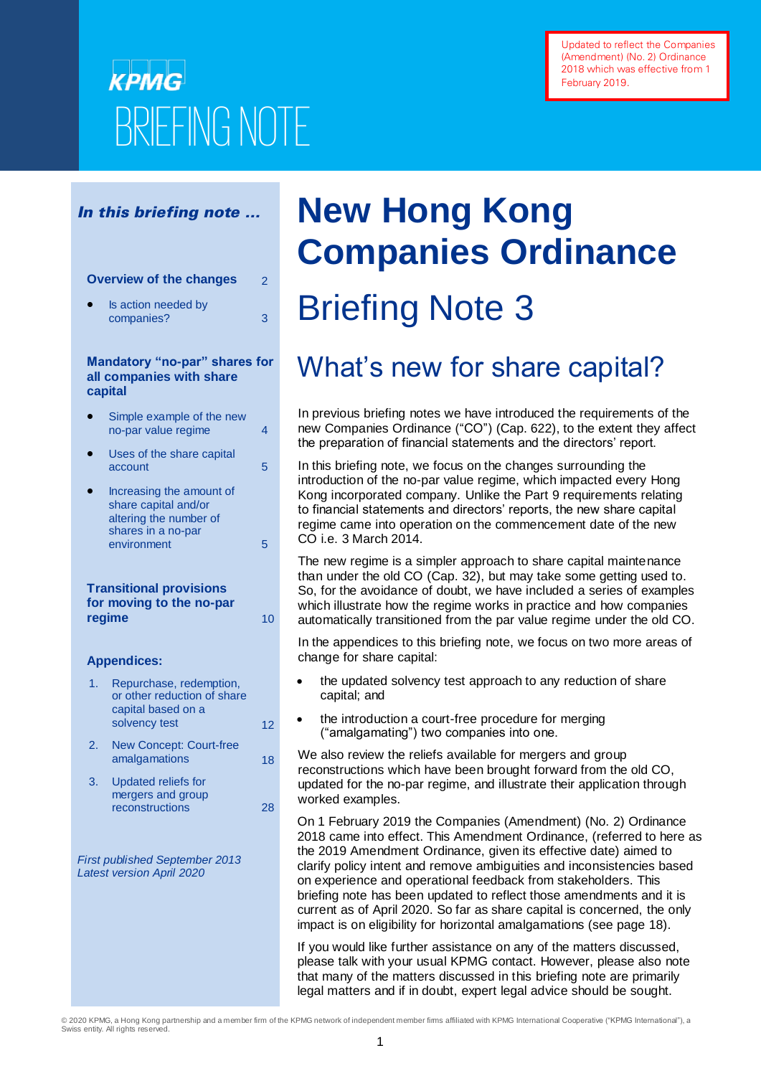# **KPMG** BRIEFING NOTE

## In this briefing note …

## **Overview of the changes** 2

 Is action needed by companies? 3

## **Mandatory "no-par" shares for all companies with share capital**

- Simple example of the new no-par value regime 4
- Uses of the share capital  $\frac{1}{5}$  account
- Increasing the amount of share capital and/or altering the number of shares in a no-par environment 5

## **Transitional provisions for moving to the no-par regime** 10

## **Appendices:**

- 1. Repurchase, redemption, or other reduction of share capital based on a solvency test 12
- 2. New Concept: Court-free amalgamations 18
- 3. Updated reliefs for mergers and group reconstructions 28

*First published September 2013 Latest version April 2020*

# **New Hong Kong Companies Ordinance**  Briefing Note 3

# What's new for share capital?

In previous briefing notes we have introduced the requirements of the new Companies Ordinance ("CO") (Cap. 622), to the extent they affect the preparation of financial statements and the directors' report.

In this briefing note, we focus on the changes surrounding the introduction of the no-par value regime, which impacted every Hong Kong incorporated company. Unlike the Part 9 requirements relating to financial statements and directors' reports, the new share capital regime came into operation on the commencement date of the new CO i.e. 3 March 2014.

The new regime is a simpler approach to share capital maintenance than under the old CO (Cap. 32), but may take some getting used to. So, for the avoidance of doubt, we have included a series of examples which illustrate how the regime works in practice and how companies automatically transitioned from the par value regime under the old CO.

In the appendices to this briefing note, we focus on two more areas of change for share capital:

- the updated solvency test approach to any reduction of share capital; and
- the introduction a court-free procedure for merging ("amalgamating") two companies into one.
- We also review the reliefs available for mergers and group reconstructions which have been brought forward from the old CO, updated for the no-par regime, and illustrate their application through worked examples.

On 1 February 2019 the Companies (Amendment) (No. 2) Ordinance 2018 came into effect. This Amendment Ordinance, (referred to here as the 2019 Amendment Ordinance, given its effective date) aimed to clarify policy intent and remove ambiguities and inconsistencies based on experience and operational feedback from stakeholders. This briefing note has been updated to reflect those amendments and it is current as of April 2020. So far as share capital is concerned, the only impact is on eligibility for horizontal amalgamations (see page 18).

If you would like further assistance on any of the matters discussed, please talk with your usual KPMG contact. However, please also note that many of the matters discussed in this briefing note are primarily legal matters and if in doubt, expert legal advice should be sought.

© 2020 KPMG, a Hong Kong partnership and a member firm of the KPMG network of independent member firms affiliated with KPMG International Cooperative ("KPMG International"), a Swiss entity. All rights reserved.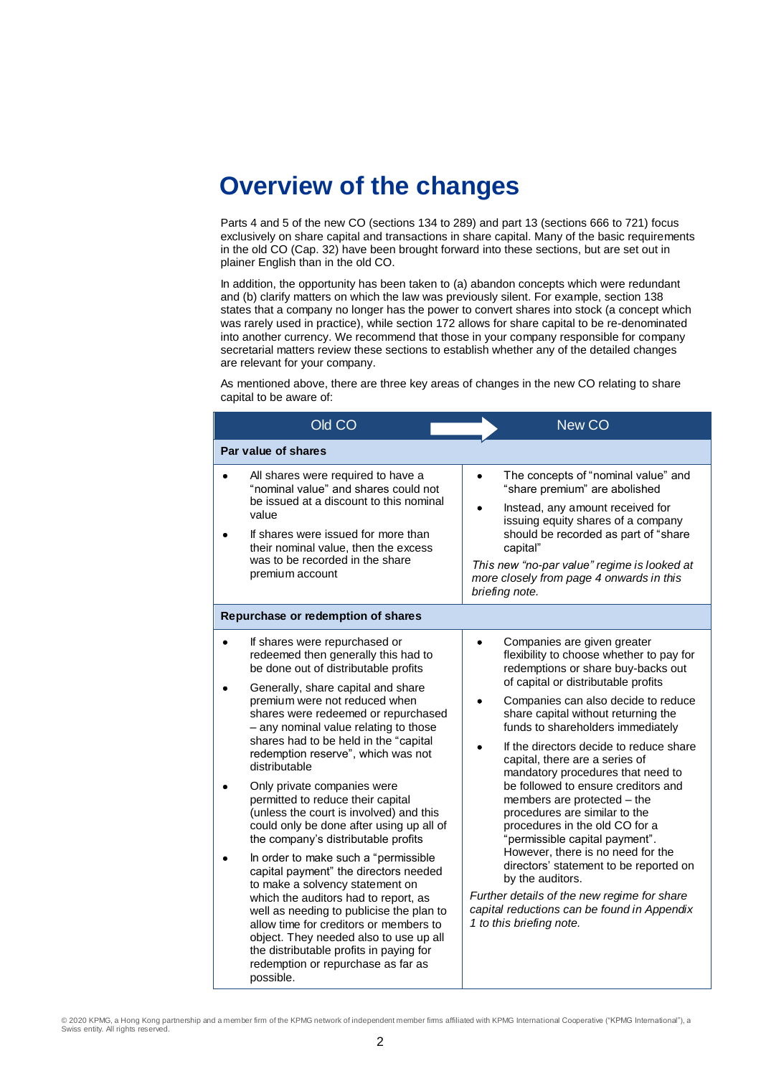## **Overview of the changes**

Parts 4 and 5 of the new CO (sections 134 to 289) and part 13 (sections 666 to 721) focus exclusively on share capital and transactions in share capital. Many of the basic requirements in the old CO (Cap. 32) have been brought forward into these sections, but are set out in plainer English than in the old CO.

In addition, the opportunity has been taken to (a) abandon concepts which were redundant and (b) clarify matters on which the law was previously silent. For example, section 138 states that a company no longer has the power to convert shares into stock (a concept which was rarely used in practice), while section 172 allows for share capital to be re-denominated into another currency. We recommend that those in your company responsible for company secretarial matters review these sections to establish whether any of the detailed changes are relevant for your company.

As mentioned above, there are three key areas of changes in the new CO relating to share capital to be aware of:

| Old CO                                                                                                                                                                                                                                                                                                                                                                                                                                                                                                                                                                                                        | New CO                                                                                                                                                                                                                                                                                                                                                                                                                                                                                                                                                                                                    |
|---------------------------------------------------------------------------------------------------------------------------------------------------------------------------------------------------------------------------------------------------------------------------------------------------------------------------------------------------------------------------------------------------------------------------------------------------------------------------------------------------------------------------------------------------------------------------------------------------------------|-----------------------------------------------------------------------------------------------------------------------------------------------------------------------------------------------------------------------------------------------------------------------------------------------------------------------------------------------------------------------------------------------------------------------------------------------------------------------------------------------------------------------------------------------------------------------------------------------------------|
| Par value of shares                                                                                                                                                                                                                                                                                                                                                                                                                                                                                                                                                                                           |                                                                                                                                                                                                                                                                                                                                                                                                                                                                                                                                                                                                           |
| All shares were required to have a<br>"nominal value" and shares could not<br>be issued at a discount to this nominal<br>value<br>If shares were issued for more than<br>their nominal value, then the excess<br>was to be recorded in the share<br>premium account                                                                                                                                                                                                                                                                                                                                           | The concepts of "nominal value" and<br>"share premium" are abolished<br>Instead, any amount received for<br>issuing equity shares of a company<br>should be recorded as part of "share<br>capital"<br>This new "no-par value" regime is looked at<br>more closely from page 4 onwards in this<br>briefing note.                                                                                                                                                                                                                                                                                           |
| Repurchase or redemption of shares                                                                                                                                                                                                                                                                                                                                                                                                                                                                                                                                                                            |                                                                                                                                                                                                                                                                                                                                                                                                                                                                                                                                                                                                           |
| If shares were repurchased or<br>redeemed then generally this had to<br>be done out of distributable profits<br>Generally, share capital and share<br>premium were not reduced when<br>shares were redeemed or repurchased<br>- any nominal value relating to those<br>shares had to be held in the "capital<br>redemption reserve", which was not<br>distributable<br>Only private companies were<br>permitted to reduce their capital<br>(unless the court is involved) and this<br>could only be done after using up all of<br>the company's distributable profits<br>In order to make such a "permissible | Companies are given greater<br>flexibility to choose whether to pay for<br>redemptions or share buy-backs out<br>of capital or distributable profits<br>Companies can also decide to reduce<br>share capital without returning the<br>funds to shareholders immediately<br>If the directors decide to reduce share<br>capital, there are a series of<br>mandatory procedures that need to<br>be followed to ensure creditors and<br>members are protected - the<br>procedures are similar to the<br>procedures in the old CO for a<br>"permissible capital payment".<br>However, there is no need for the |
| capital payment" the directors needed<br>to make a solvency statement on<br>which the auditors had to report, as<br>well as needing to publicise the plan to<br>allow time for creditors or members to<br>object. They needed also to use up all<br>the distributable profits in paying for<br>redemption or repurchase as far as<br>possible.                                                                                                                                                                                                                                                                | directors' statement to be reported on<br>by the auditors.<br>Further details of the new regime for share<br>capital reductions can be found in Appendix<br>1 to this briefing note.                                                                                                                                                                                                                                                                                                                                                                                                                      |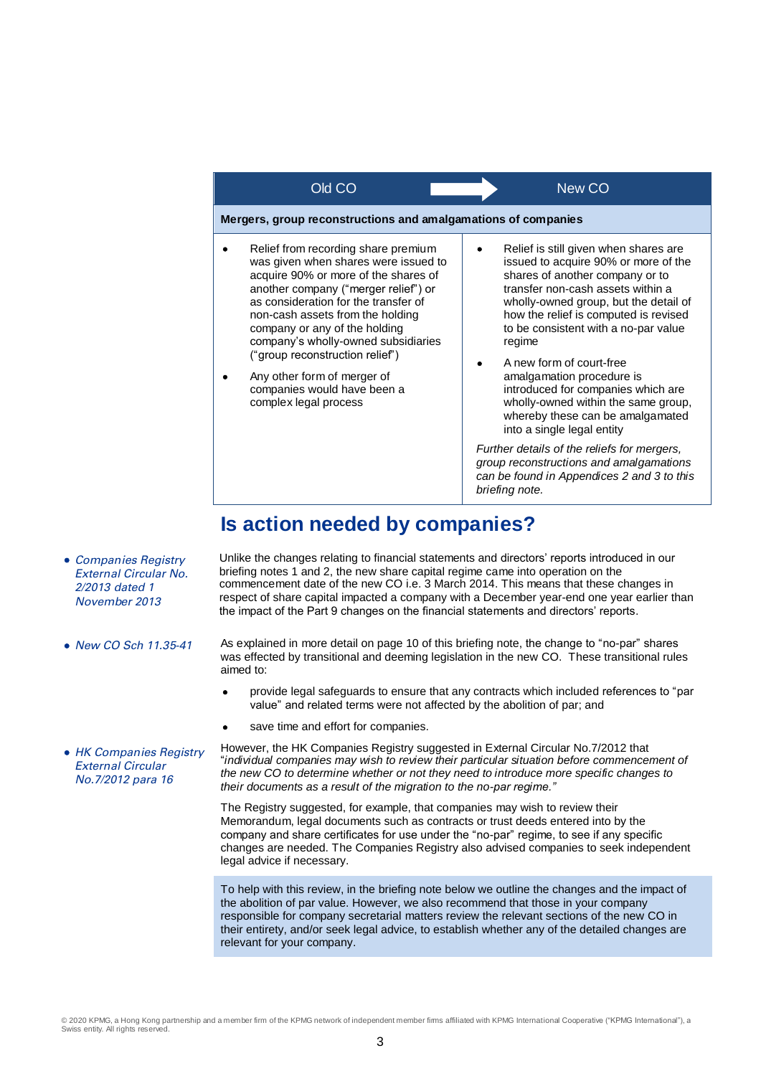

## **Is action needed by companies?**

- Unlike the changes relating to financial statements and directors' reports introduced in our briefing notes 1 and 2, the new share capital regime came into operation on the commencement date of the new CO i.e. 3 March 2014. This means that these changes in respect of share capital impacted a company with a December year-end one year earlier than the impact of the Part 9 changes on the financial statements and directors' reports.
- As explained in more detail on page 10 of this briefing note, the change to "no-par" shares was effected by transitional and deeming legislation in the new CO. These transitional rules aimed to:
	- provide legal safeguards to ensure that any contracts which included references to "par value" and related terms were not affected by the abolition of par; and
	- save time and effort for companies.

However, the HK Companies Registry suggested in External Circular No.7/2012 that "*individual companies may wish to review their particular situation before commencement of the new CO to determine whether or not they need to introduce more specific changes to their documents as a result of the migration to the no-par regime."* 

> The Registry suggested, for example, that companies may wish to review their Memorandum, legal documents such as contracts or trust deeds entered into by the company and share certificates for use under the "no-par" regime, to see if any specific changes are needed. The Companies Registry also advised companies to seek independent legal advice if necessary.

> To help with this review, in the briefing note below we outline the changes and the impact of the abolition of par value. However, we also recommend that those in your company responsible for company secretarial matters review the relevant sections of the new CO in their entirety, and/or seek legal advice, to establish whether any of the detailed changes are relevant for your company.

• HK Companies Registry External Circular No.7/2012 para 16

• Companies Registry External Circular No. 2/2013 dated 1 November 2013

• New CO Sch 11.35-41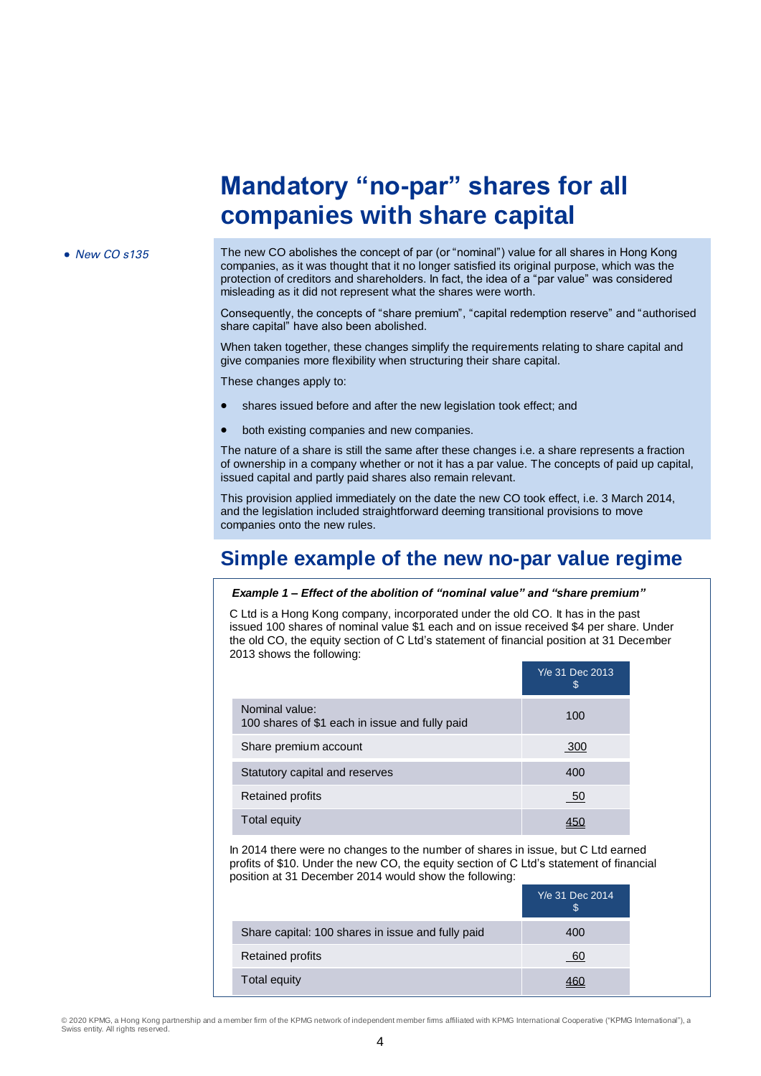## **Mandatory "no-par" shares for all companies with share capital**

• New CO s135 The new CO abolishes the concept of par (or "nominal") value for all shares in Hong Kong companies, as it was thought that it no longer satisfied its original purpose, which was the protection of creditors and shareholders. In fact, the idea of a "par value" was considered misleading as it did not represent what the shares were worth.

> Consequently, the concepts of "share premium", "capital redemption reserve" and "authorised share capital" have also been abolished.

When taken together, these changes simplify the requirements relating to share capital and give companies more flexibility when structuring their share capital.

These changes apply to:

- shares issued before and after the new legislation took effect; and
- both existing companies and new companies.

The nature of a share is still the same after these changes i.e. a share represents a fraction of ownership in a company whether or not it has a par value. The concepts of paid up capital, issued capital and partly paid shares also remain relevant.

This provision applied immediately on the date the new CO took effect, i.e. 3 March 2014, and the legislation included straightforward deeming transitional provisions to move companies onto the new rules.

## **Simple example of the new no-par value regime**

#### *Example 1 – Effect of the abolition of "nominal value" and "share premium"*

C Ltd is a Hong Kong company, incorporated under the old CO. It has in the past issued 100 shares of nominal value \$1 each and on issue received \$4 per share. Under the old CO, the equity section of C Ltd's statement of financial position at 31 December 2013 shows the following:

|                                                                  | Y/e 31 Dec 2013<br>\$. |
|------------------------------------------------------------------|------------------------|
| Nominal value:<br>100 shares of \$1 each in issue and fully paid | 100                    |
| Share premium account                                            | 300                    |
| Statutory capital and reserves                                   | 400                    |
| <b>Retained profits</b>                                          | - 50                   |
| <b>Total equity</b>                                              |                        |

In 2014 there were no changes to the number of shares in issue, but C Ltd earned profits of \$10. Under the new CO, the equity section of C Ltd's statement of financial position at 31 December 2014 would show the following:

|                                                   | Y/e 31 Dec 2014<br>S |
|---------------------------------------------------|----------------------|
| Share capital: 100 shares in issue and fully paid | 400                  |
| <b>Retained profits</b>                           | 60                   |
| Total equity                                      |                      |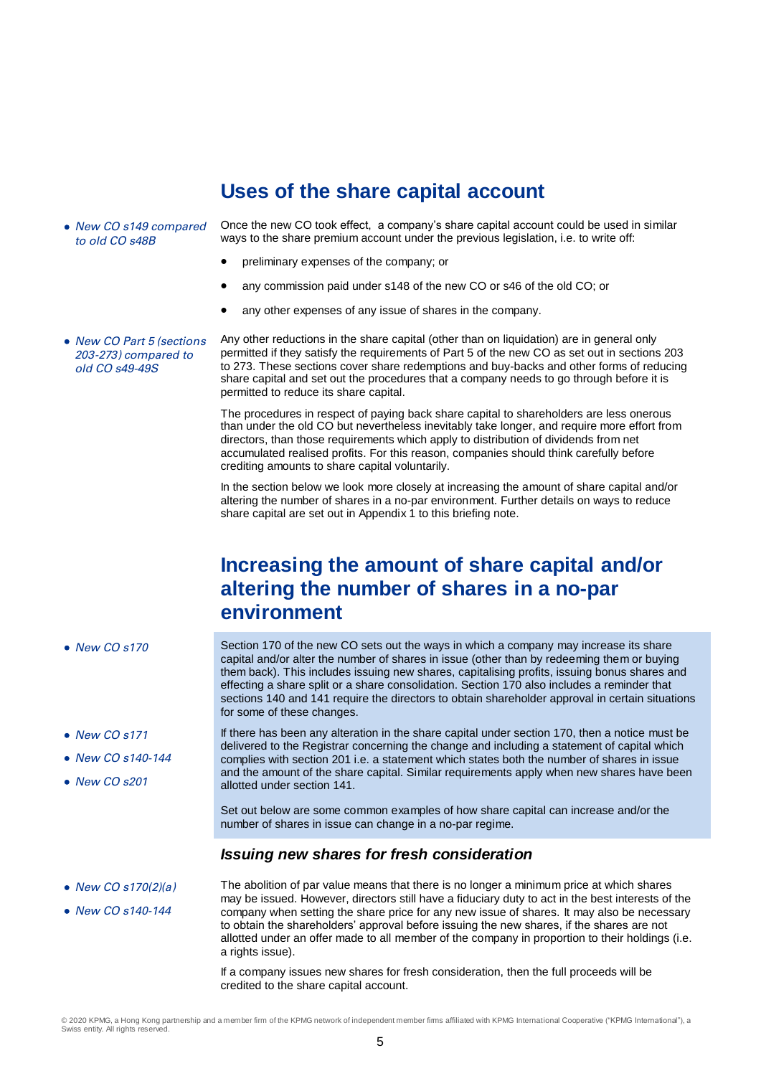## **Uses of the share capital account**

• New CO s149 compared to old CO s48B

Once the new CO took effect, a company's share capital account could be used in similar ways to the share premium account under the previous legislation, i.e. to write off:

- preliminary expenses of the company; or
- any commission paid under s148 of the new CO or s46 of the old CO; or
- any other expenses of any issue of shares in the company.

• New CO Part 5 (sections 203-273) compared to old CO s49-49S

Any other reductions in the share capital (other than on liquidation) are in general only permitted if they satisfy the requirements of Part 5 of the new CO as set out in sections 203 to 273. These sections cover share redemptions and buy-backs and other forms of reducing share capital and set out the procedures that a company needs to go through before it is permitted to reduce its share capital.

The procedures in respect of paying back share capital to shareholders are less onerous than under the old CO but nevertheless inevitably take longer, and require more effort from directors, than those requirements which apply to distribution of dividends from net accumulated realised profits. For this reason, companies should think carefully before crediting amounts to share capital voluntarily.

In the section below we look more closely at increasing the amount of share capital and/or altering the number of shares in a no-par environment. Further details on ways to reduce share capital are set out in Appendix 1 to this briefing note.

## **Increasing the amount of share capital and/or altering the number of shares in a no-par environment**

capital and/or alter the number of shares in issue (other than by redeeming them or buying

• New CO s170 Section 170 of the new CO sets out the ways in which a company may increase its share

• New CO s171  $\bullet$  New CO s140-144

• New CO s201

them back). This includes issuing new shares, capitalising profits, issuing bonus shares and effecting a share split or a share consolidation. Section 170 also includes a reminder that sections 140 and 141 require the directors to obtain shareholder approval in certain situations for some of these changes.

> If there has been any alteration in the share capital under section 170, then a notice must be delivered to the Registrar concerning the change and including a statement of capital which complies with section 201 i.e. a statement which states both the number of shares in issue and the amount of the share capital. Similar requirements apply when new shares have been allotted under section 141.

Set out below are some common examples of how share capital can increase and/or the number of shares in issue can change in a no-par regime.

## *Issuing new shares for fresh consideration*

• New CO s170(2)(a) • New CO s140-144 The abolition of par value means that there is no longer a minimum price at which shares may be issued. However, directors still have a fiduciary duty to act in the best interests of the company when setting the share price for any new issue of shares. It may also be necessary to obtain the shareholders' approval before issuing the new shares, if the shares are not allotted under an offer made to all member of the company in proportion to their holdings (i.e. a rights issue).

> If a company issues new shares for fresh consideration, then the full proceeds will be credited to the share capital account.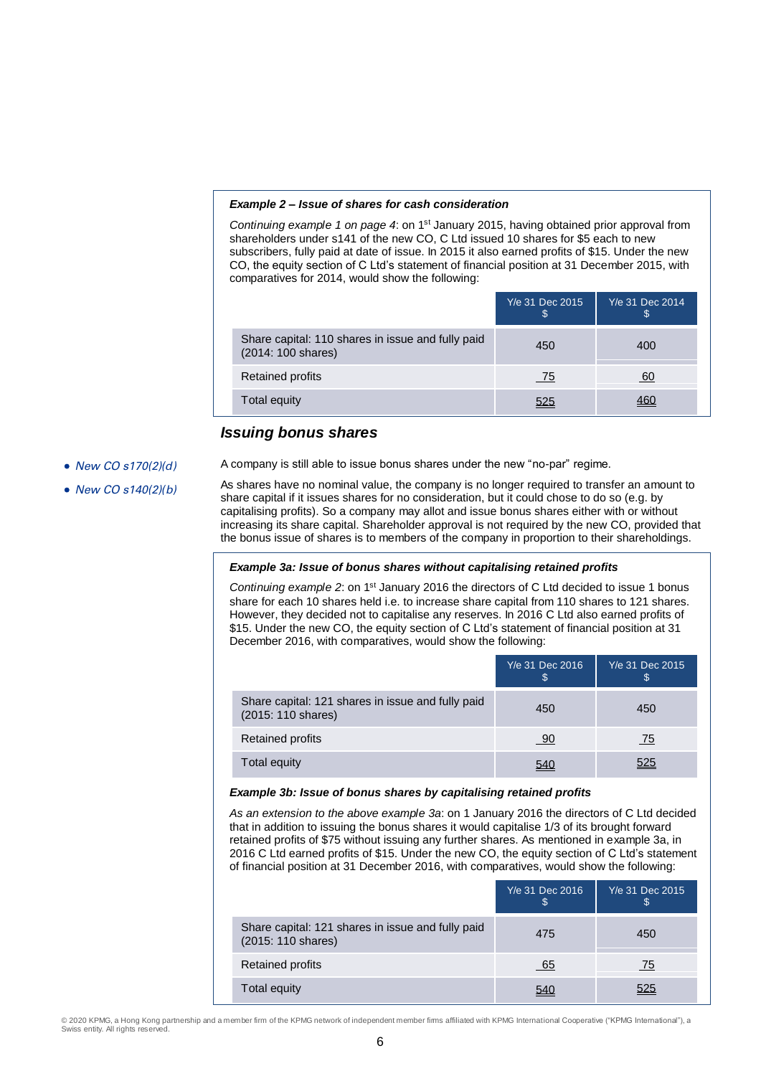#### *Example 2 – Issue of shares for cash consideration*

*Continuing example 1 on page 4*: on 1st January 2015, having obtained prior approval from shareholders under s141 of the new CO, C Ltd issued 10 shares for \$5 each to new subscribers, fully paid at date of issue. In 2015 it also earned profits of \$15. Under the new CO, the equity section of C Ltd's statement of financial position at 31 December 2015, with comparatives for 2014, would show the following:

|                                                                         | Y/e 31 Dec 2015<br>æ | Y/e 31 Dec 2014<br>ъ |
|-------------------------------------------------------------------------|----------------------|----------------------|
| Share capital: 110 shares in issue and fully paid<br>(2014: 100 shares) | 450                  | 400                  |
| <b>Retained profits</b>                                                 | <u>75</u>            | 60                   |
| Total equity                                                            | 525                  |                      |

## *Issuing bonus shares*

## • New CO s170(2)(d)

A company is still able to issue bonus shares under the new "no-par" regime.

• New CO s140(2)(b)

As shares have no nominal value, the company is no longer required to transfer an amount to share capital if it issues shares for no consideration, but it could chose to do so (e.g. by capitalising profits). So a company may allot and issue bonus shares either with or without increasing its share capital. Shareholder approval is not required by the new CO, provided that the bonus issue of shares is to members of the company in proportion to their shareholdings.

## *Example 3a: Issue of bonus shares without capitalising retained profits*

*Continuing example* 2: on 1<sup>st</sup> January 2016 the directors of C Ltd decided to issue 1 bonus share for each 10 shares held i.e. to increase share capital from 110 shares to 121 shares. However, they decided not to capitalise any reserves. In 2016 C Ltd also earned profits of \$15. Under the new CO, the equity section of C Ltd's statement of financial position at 31 December 2016, with comparatives, would show the following:

|                                                                         | Y/e 31 Dec 2016<br>S | Y/e 31 Dec 2015<br>S. |
|-------------------------------------------------------------------------|----------------------|-----------------------|
| Share capital: 121 shares in issue and fully paid<br>(2015: 110 shares) | 450                  | 450                   |
| <b>Retained profits</b>                                                 | <u>90</u>            | <u>75</u>             |
| <b>Total equity</b>                                                     | 540                  | 525                   |

#### *Example 3b: Issue of bonus shares by capitalising retained profits*

*As an extension to the above example 3a*: on 1 January 2016 the directors of C Ltd decided that in addition to issuing the bonus shares it would capitalise 1/3 of its brought forward retained profits of \$75 without issuing any further shares. As mentioned in example 3a, in 2016 C Ltd earned profits of \$15. Under the new CO, the equity section of C Ltd's statement of financial position at 31 December 2016, with comparatives, would show the following:

|                                                                         | Y/e 31 Dec 2016<br>S | Y/e 31 Dec 2015<br>ъ |
|-------------------------------------------------------------------------|----------------------|----------------------|
| Share capital: 121 shares in issue and fully paid<br>(2015: 110 shares) | 475                  | 450                  |
| <b>Retained profits</b>                                                 | $-65$                | 75                   |
| Total equity                                                            |                      | 525                  |

© 2020 KPMG, a Hong Kong partnership and a member firm of the KPMG network of independent member firms affiliated with KPMG International Cooperative ("KPMG International"), a Swiss entity. All rights reserved.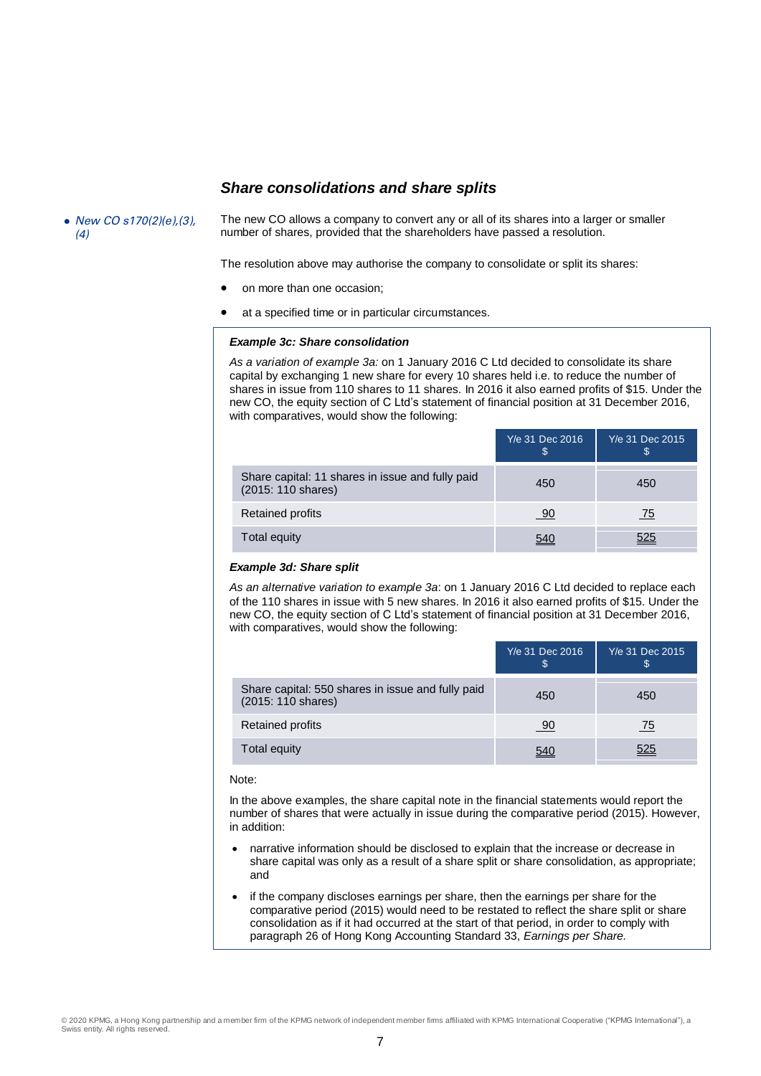## *Share consolidations and share splits*

• New CO s170(2)(e),(3), (4)

The new CO allows a company to convert any or all of its shares into a larger or smaller number of shares, provided that the shareholders have passed a resolution.

The resolution above may authorise the company to consolidate or split its shares:

- on more than one occasion;
- at a specified time or in particular circumstances.

#### *Example 3c: Share consolidation*

*As a variation of example 3a:* on 1 January 2016 C Ltd decided to consolidate its share capital by exchanging 1 new share for every 10 shares held i.e. to reduce the number of shares in issue from 110 shares to 11 shares. In 2016 it also earned profits of \$15. Under the new CO, the equity section of C Ltd's statement of financial position at 31 December 2016, with comparatives, would show the following:

|                                                                        | Y/e 31 Dec 2016<br>\$ | Y/e 31 Dec 2015<br>ა |
|------------------------------------------------------------------------|-----------------------|----------------------|
| Share capital: 11 shares in issue and fully paid<br>(2015: 110 shares) | 450                   | 450                  |
| <b>Retained profits</b>                                                | <u>90</u>             | 75                   |
| Total equity                                                           | 540                   | 525                  |

## *Example 3d: Share split*

*As an alternative variation to example 3a*: on 1 January 2016 C Ltd decided to replace each of the 110 shares in issue with 5 new shares. In 2016 it also earned profits of \$15. Under the new CO, the equity section of C Ltd's statement of financial position at 31 December 2016, with comparatives, would show the following:

|                                                                         | Y/e 31 Dec 2016<br>S | Y/e 31 Dec 2015<br>\$ |
|-------------------------------------------------------------------------|----------------------|-----------------------|
| Share capital: 550 shares in issue and fully paid<br>(2015: 110 shares) | 450                  | 450                   |
| <b>Retained profits</b>                                                 | 90                   | 75                    |
| Total equity                                                            | 540                  | 525                   |

#### Note:

In the above examples, the share capital note in the financial statements would report the number of shares that were actually in issue during the comparative period (2015). However, in addition:

- narrative information should be disclosed to explain that the increase or decrease in share capital was only as a result of a share split or share consolidation, as appropriate; and
- if the company discloses earnings per share, then the earnings per share for the comparative period (2015) would need to be restated to reflect the share split or share consolidation as if it had occurred at the start of that period, in order to comply with paragraph 26 of Hong Kong Accounting Standard 33, *Earnings per Share.*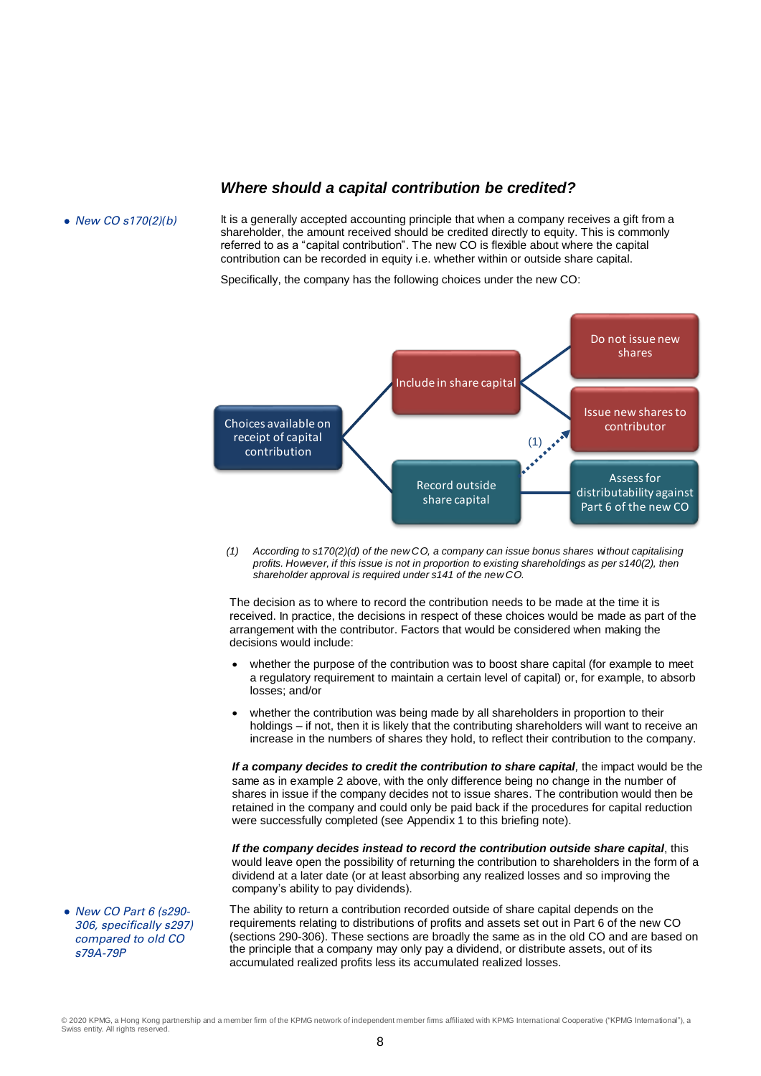## *Where should a capital contribution be credited?*

• New CO s170(2)(b) It is a generally accepted accounting principle that when a company receives a gift from a shareholder, the amount received should be credited directly to equity. This is commonly referred to as a "capital contribution". The new CO is flexible about where the capital contribution can be recorded in equity i.e. whether within or outside share capital.

Specifically, the company has the following choices under the new CO:



*(1) According to s170(2)(d) of the new CO, a company can issue bonus shares without capitalising profits. However, if this issue is not in proportion to existing shareholdings as per s140(2), then shareholder approval is required under s141 of the new CO.*

The decision as to where to record the contribution needs to be made at the time it is received. In practice, the decisions in respect of these choices would be made as part of the arrangement with the contributor. Factors that would be considered when making the decisions would include:

- whether the purpose of the contribution was to boost share capital (for example to meet a regulatory requirement to maintain a certain level of capital) or, for example, to absorb losses; and/or
- whether the contribution was being made by all shareholders in proportion to their holdings – if not, then it is likely that the contributing shareholders will want to receive an increase in the numbers of shares they hold, to reflect their contribution to the company.

*If a company decides to credit the contribution to share capital,* the impact would be the same as in example 2 above, with the only difference being no change in the number of shares in issue if the company decides not to issue shares. The contribution would then be retained in the company and could only be paid back if the procedures for capital reduction were successfully completed (see Appendix 1 to this briefing note).

*If the company decides instead to record the contribution outside share capital*, this would leave open the possibility of returning the contribution to shareholders in the form of a dividend at a later date (or at least absorbing any realized losses and so improving the company's ability to pay dividends).

The ability to return a contribution recorded outside of share capital depends on the requirements relating to distributions of profits and assets set out in Part 6 of the new CO (sections 290-306). These sections are broadly the same as in the old CO and are based on the principle that a company may only pay a dividend, or distribute assets, out of its accumulated realized profits less its accumulated realized losses.

• New CO Part 6 (s290-306, specifically s297) compared to old CO s79A-79P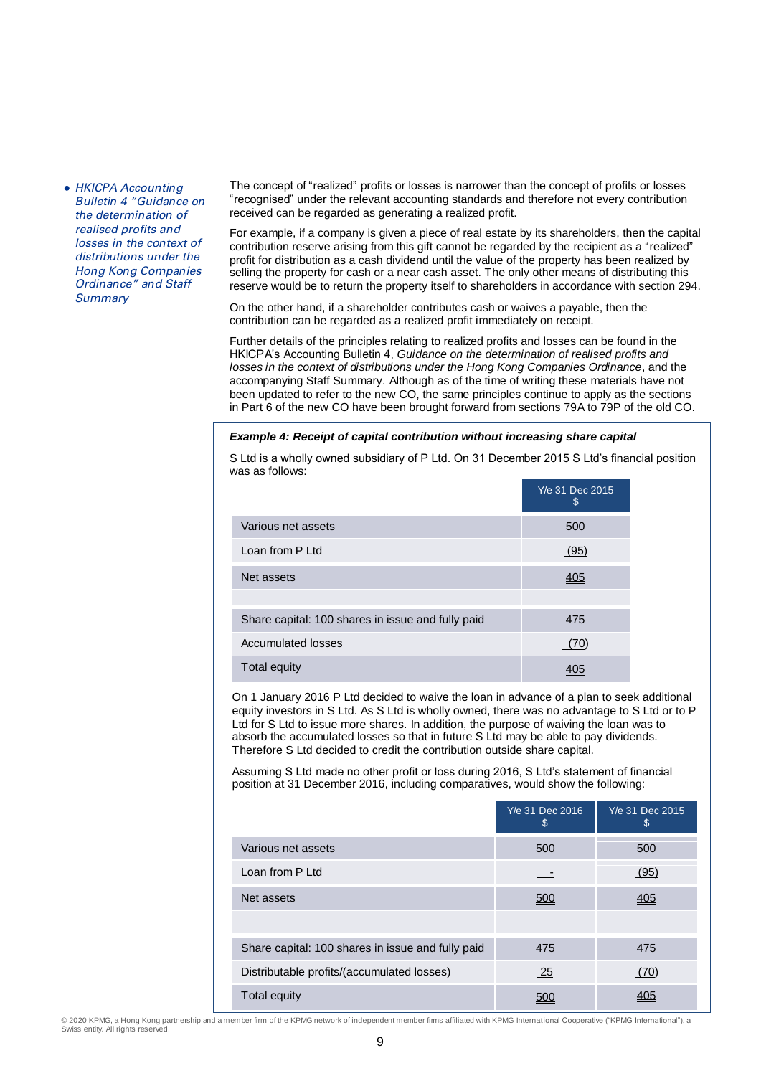• HKICPA Accounting Bulletin 4 "Guidance on the determination of realised profits and losses in the context of distributions under the Hong Kong Companies Ordinance" and Staff **Summary** 

The concept of "realized" profits or losses is narrower than the concept of profits or losses "recognised" under the relevant accounting standards and therefore not every contribution received can be regarded as generating a realized profit.

For example, if a company is given a piece of real estate by its shareholders, then the capital contribution reserve arising from this gift cannot be regarded by the recipient as a "realized" profit for distribution as a cash dividend until the value of the property has been realized by selling the property for cash or a near cash asset. The only other means of distributing this reserve would be to return the property itself to shareholders in accordance with section 294.

On the other hand, if a shareholder contributes cash or waives a payable, then the contribution can be regarded as a realized profit immediately on receipt.

Further details of the principles relating to realized profits and losses can be found in the HKICPA's Accounting Bulletin 4, *Guidance on the determination of realised profits and losses in the context of distributions under the Hong Kong Companies Ordinance*, and the accompanying Staff Summary. Although as of the time of writing these materials have not been updated to refer to the new CO, the same principles continue to apply as the sections in Part 6 of the new CO have been brought forward from sections 79A to 79P of the old CO.

#### *Example 4: Receipt of capital contribution without increasing share capital*

S Ltd is a wholly owned subsidiary of P Ltd. On 31 December 2015 S Ltd's financial position was as follows:

|                                                   | Y/e 31 Dec 2015<br>\$ |
|---------------------------------------------------|-----------------------|
| Various net assets                                | 500                   |
| Loan from P Ltd                                   | (95)                  |
| Net assets                                        | <u>405</u>            |
|                                                   |                       |
| Share capital: 100 shares in issue and fully paid | 475                   |
| <b>Accumulated losses</b>                         | (70)                  |
| Total equity                                      |                       |

On 1 January 2016 P Ltd decided to waive the loan in advance of a plan to seek additional equity investors in S Ltd. As S Ltd is wholly owned, there was no advantage to S Ltd or to P Ltd for S Ltd to issue more shares. In addition, the purpose of waiving the loan was to absorb the accumulated losses so that in future S Ltd may be able to pay dividends. Therefore S Ltd decided to credit the contribution outside share capital.

Assuming S Ltd made no other profit or loss during 2016, S Ltd's statement of financial position at 31 December 2016, including comparatives, would show the following:

|                                                   | Y/e 31 Dec 2016<br>\$ | Y/e 31 Dec 2015<br>\$ |
|---------------------------------------------------|-----------------------|-----------------------|
| Various net assets                                | 500                   | 500                   |
| Loan from P Ltd                                   |                       | (95)                  |
| Net assets                                        | 500                   | <u>405</u>            |
|                                                   |                       |                       |
| Share capital: 100 shares in issue and fully paid | 475                   | 475                   |
| Distributable profits/(accumulated losses)        | 25                    | (70)                  |
| <b>Total equity</b>                               |                       |                       |

© 2020 KPMG, a Hong Kong partnership and a member firm of the KPMG network of independent member firms affiliated with KPMG International Cooperative ("KPMG International"), a Swiss entity. All rights reserved.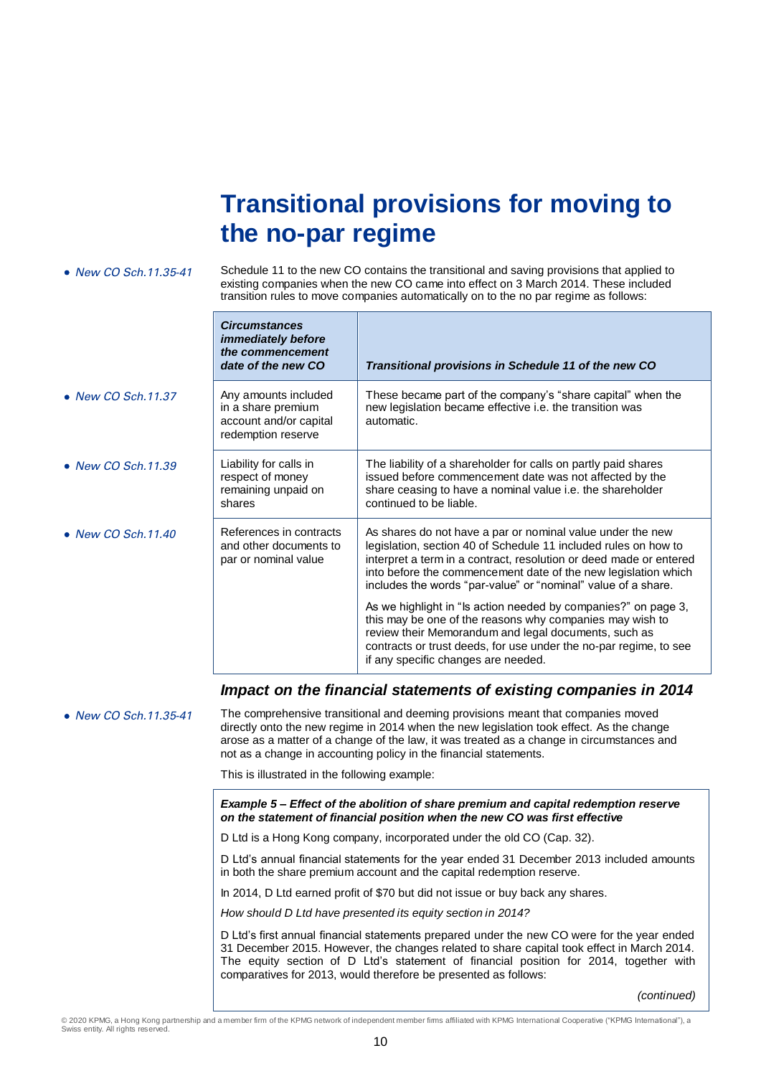# **Transitional provisions for moving to the no-par regime**

| • New CO Sch. 11.35-41     | Schedule 11 to the new CO contains the transitional and saving provisions that applied to<br>existing companies when the new CO came into effect on 3 March 2014. These included<br>transition rules to move companies automatically on to the no par regime as follows: |                                                                                                                                                                                                                                                                                                                                        |  |
|----------------------------|--------------------------------------------------------------------------------------------------------------------------------------------------------------------------------------------------------------------------------------------------------------------------|----------------------------------------------------------------------------------------------------------------------------------------------------------------------------------------------------------------------------------------------------------------------------------------------------------------------------------------|--|
|                            | <b>Circumstances</b><br><i>immediately before</i><br>the commencement<br>date of the new CO                                                                                                                                                                              | Transitional provisions in Schedule 11 of the new CO                                                                                                                                                                                                                                                                                   |  |
| $\bullet$ New CO Sch.11.37 | Any amounts included<br>in a share premium<br>account and/or capital<br>redemption reserve                                                                                                                                                                               | These became part of the company's "share capital" when the<br>new legislation became effective i.e. the transition was<br>automatic.                                                                                                                                                                                                  |  |
| $\bullet$ New CO Sch.11.39 | Liability for calls in<br>respect of money<br>remaining unpaid on<br>shares                                                                                                                                                                                              | The liability of a shareholder for calls on partly paid shares<br>issued before commencement date was not affected by the<br>share ceasing to have a nominal value i.e. the shareholder<br>continued to be liable.                                                                                                                     |  |
| $\bullet$ New CO Sch.11.40 | References in contracts<br>and other documents to<br>par or nominal value                                                                                                                                                                                                | As shares do not have a par or nominal value under the new<br>legislation, section 40 of Schedule 11 included rules on how to<br>interpret a term in a contract, resolution or deed made or entered<br>into before the commencement date of the new legislation which<br>includes the words "par-value" or "nominal" value of a share. |  |
|                            |                                                                                                                                                                                                                                                                          | As we highlight in "Is action needed by companies?" on page 3,<br>this may be one of the reasons why companies may wish to<br>review their Memorandum and legal documents, such as<br>contracts or trust deeds, for use under the no-par regime, to see<br>if any specific changes are needed.                                         |  |

## *Impact on the financial statements of existing companies in 2014*

• New CO Sch.11.35-41 The comprehensive transitional and deeming provisions meant that companies moved directly onto the new regime in 2014 when the new legislation took effect. As the change arose as a matter of a change of the law, it was treated as a change in circumstances and not as a change in accounting policy in the financial statements.

This is illustrated in the following example:

*Example 5 – Effect of the abolition of share premium and capital redemption reserve on the statement of financial position when the new CO was first effective*

D Ltd is a Hong Kong company, incorporated under the old CO (Cap. 32).

D Ltd's annual financial statements for the year ended 31 December 2013 included amounts in both the share premium account and the capital redemption reserve.

In 2014, D Ltd earned profit of \$70 but did not issue or buy back any shares.

*How should D Ltd have presented its equity section in 2014?*

D Ltd's first annual financial statements prepared under the new CO were for the year ended 31 December 2015. However, the changes related to share capital took effect in March 2014. The equity section of D Ltd's statement of financial position for 2014, together with comparatives for 2013, would therefore be presented as follows:

*(continued)*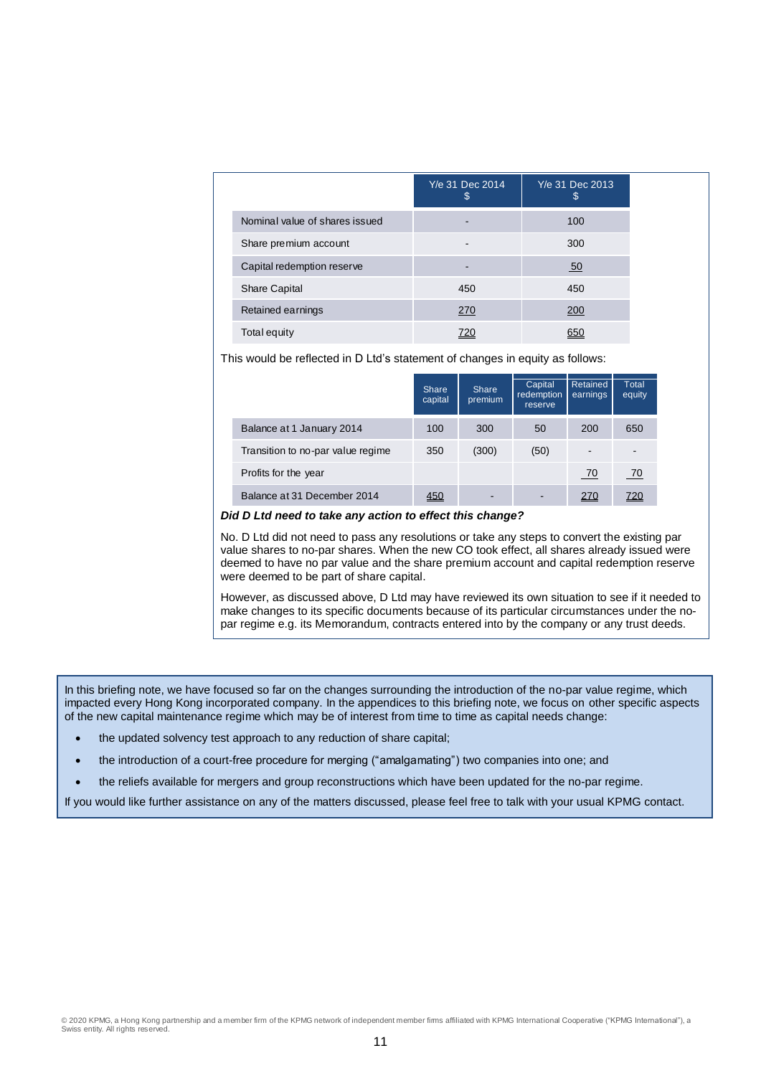|                                | Y/e 31 Dec 2014<br>\$ | Y/e 31 Dec 2013<br>\$ |
|--------------------------------|-----------------------|-----------------------|
| Nominal value of shares issued |                       | 100                   |
| Share premium account          |                       | 300                   |
| Capital redemption reserve     |                       | 50                    |
| <b>Share Capital</b>           | 450                   | 450                   |
| Retained earnings              | 270                   | 200                   |
| Total equity                   | 720                   | 650                   |

This would be reflected in D Ltd's statement of changes in equity as follows:

|                                   | Share<br>capital | Share<br>premium | Capital<br>redemption<br>reserve | Retained<br>earnings | Total<br>equity |
|-----------------------------------|------------------|------------------|----------------------------------|----------------------|-----------------|
| Balance at 1 January 2014         | 100              | 300              | 50                               | 200                  | 650             |
| Transition to no-par value regime | 350              | (300)            | (50)                             | ۰                    |                 |
| Profits for the year              |                  |                  |                                  | - 70                 | - 70            |
| Balance at 31 December 2014       | <u>450</u>       |                  | $\overline{\phantom{a}}$         | <u>270</u>           | <u>720</u>      |

*Did D Ltd need to take any action to effect this change?*

No. D Ltd did not need to pass any resolutions or take any steps to convert the existing par value shares to no-par shares. When the new CO took effect, all shares already issued were deemed to have no par value and the share premium account and capital redemption reserve were deemed to be part of share capital.

However, as discussed above, D Ltd may have reviewed its own situation to see if it needed to make changes to its specific documents because of its particular circumstances under the nopar regime e.g. its Memorandum, contracts entered into by the company or any trust deeds.

In this briefing note, we have focused so far on the changes surrounding the introduction of the no-par value regime, which impacted every Hong Kong incorporated company. In the appendices to this briefing note, we focus on other specific aspects of the new capital maintenance regime which may be of interest from time to time as capital needs change:

- the updated solvency test approach to any reduction of share capital;
- the introduction of a court-free procedure for merging ("amalgamating") two companies into one; and
- the reliefs available for mergers and group reconstructions which have been updated for the no-par regime.

If you would like further assistance on any of the matters discussed, please feel free to talk with your usual KPMG contact.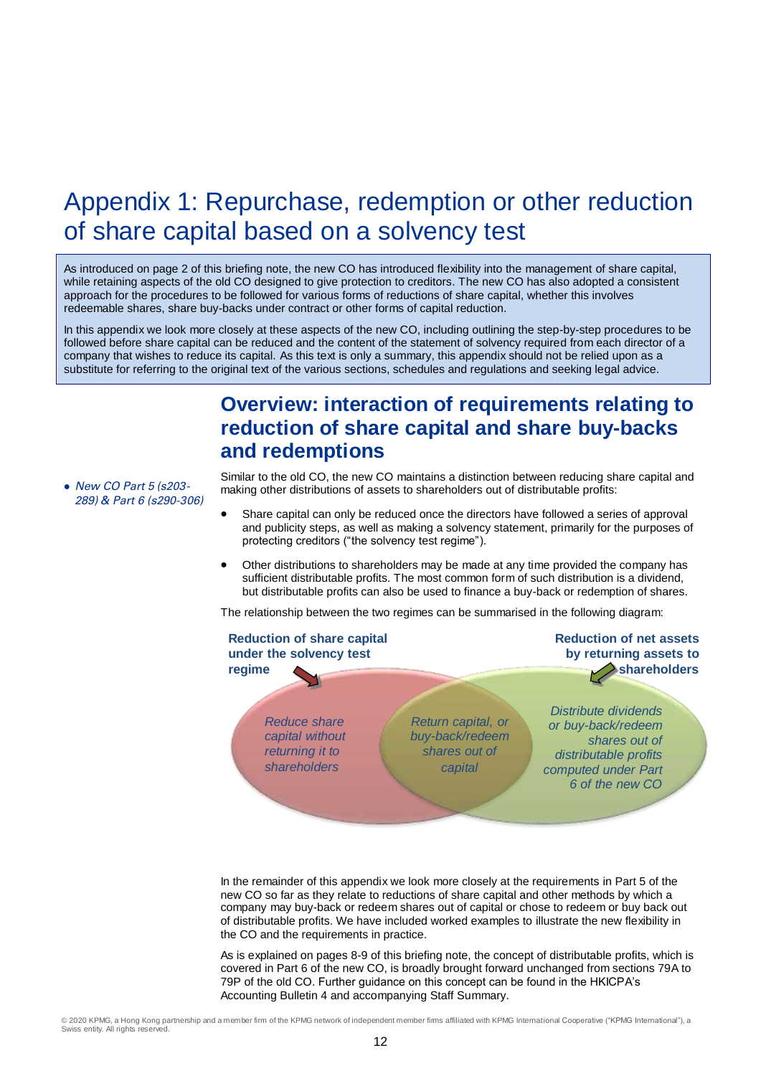## Appendix 1: Repurchase, redemption or other reduction of share capital based on a solvency test

As introduced on page 2 of this briefing note, the new CO has introduced flexibility into the management of share capital, while retaining aspects of the old CO designed to give protection to creditors. The new CO has also adopted a consistent approach for the procedures to be followed for various forms of reductions of share capital, whether this involves redeemable shares, share buy-backs under contract or other forms of capital reduction.

In this appendix we look more closely at these aspects of the new CO, including outlining the step-by-step procedures to be followed before share capital can be reduced and the content of the statement of solvency required from each director of a company that wishes to reduce its capital. As this text is only a summary, this appendix should not be relied upon as a substitute for referring to the original text of the various sections, schedules and regulations and seeking legal advice.

## **Overview: interaction of requirements relating to reduction of share capital and share buy-backs and redemptions**

 New CO Part 5 (s203- 289) & Part 6 (s290-306)

Similar to the old CO, the new CO maintains a distinction between reducing share capital and making other distributions of assets to shareholders out of distributable profits:

- Share capital can only be reduced once the directors have followed a series of approval and publicity steps, as well as making a solvency statement, primarily for the purposes of protecting creditors ("the solvency test regime").
- Other distributions to shareholders may be made at any time provided the company has sufficient distributable profits. The most common form of such distribution is a dividend, but distributable profits can also be used to finance a buy-back or redemption of shares.

The relationship between the two regimes can be summarised in the following diagram:



In the remainder of this appendix we look more closely at the requirements in Part 5 of the new CO so far as they relate to reductions of share capital and other methods by which a company may buy-back or redeem shares out of capital or chose to redeem or buy back out of distributable profits. We have included worked examples to illustrate the new flexibility in the CO and the requirements in practice.

As is explained on pages 8-9 of this briefing note, the concept of distributable profits, which is covered in Part 6 of the new CO, is broadly brought forward unchanged from sections 79A to 79P of the old CO. Further guidance on this concept can be found in the HKICPA's Accounting Bulletin 4 and accompanying Staff Summary.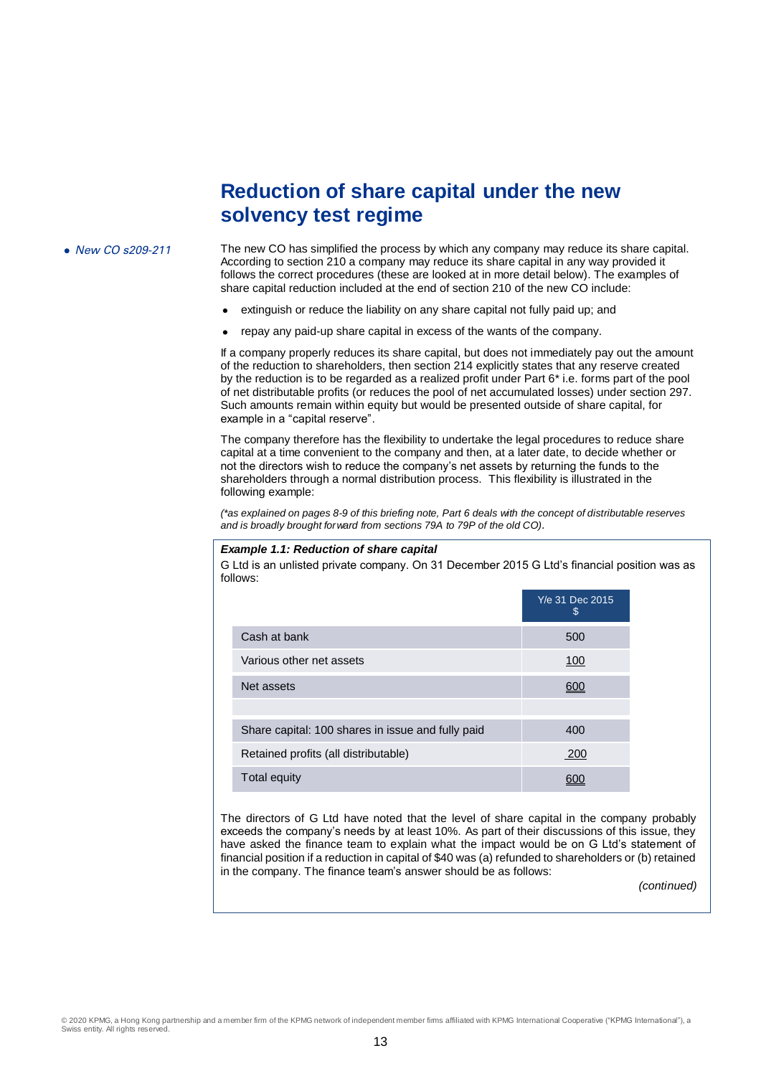## **Reduction of share capital under the new solvency test regime**

• New CO s209-211 The new CO has simplified the process by which any company may reduce its share capital. According to section 210 a company may reduce its share capital in any way provided it follows the correct procedures (these are looked at in more detail below). The examples of share capital reduction included at the end of section 210 of the new CO include:

- extinguish or reduce the liability on any share capital not fully paid up; and
- repay any paid-up share capital in excess of the wants of the company.

If a company properly reduces its share capital, but does not immediately pay out the amount of the reduction to shareholders, then section 214 explicitly states that any reserve created by the reduction is to be regarded as a realized profit under Part 6\* i.e. forms part of the pool of net distributable profits (or reduces the pool of net accumulated losses) under section 297. Such amounts remain within equity but would be presented outside of share capital, for example in a "capital reserve".

The company therefore has the flexibility to undertake the legal procedures to reduce share capital at a time convenient to the company and then, at a later date, to decide whether or not the directors wish to reduce the company's net assets by returning the funds to the shareholders through a normal distribution process. This flexibility is illustrated in the following example:

*(\*as explained on pages 8-9 of this briefing note, Part 6 deals with the concept of distributable reserves and is broadly brought forward from sections 79A to 79P of the old CO)*.

#### *Example 1.1: Reduction of share capital*

G Ltd is an unlisted private company. On 31 December 2015 G Ltd's financial position was as follows:

|                                                   | Y/e 31 Dec 2015<br>S |
|---------------------------------------------------|----------------------|
| Cash at bank                                      | 500                  |
| Various other net assets                          | 100                  |
| Net assets                                        | 600                  |
|                                                   |                      |
| Share capital: 100 shares in issue and fully paid | 400                  |
| Retained profits (all distributable)              | 200                  |
| Total equity                                      |                      |

The directors of G Ltd have noted that the level of share capital in the company probably exceeds the company's needs by at least 10%. As part of their discussions of this issue, they have asked the finance team to explain what the impact would be on G Ltd's statement of financial position if a reduction in capital of \$40 was (a) refunded to shareholders or (b) retained in the company. The finance team's answer should be as follows:

*(continued)*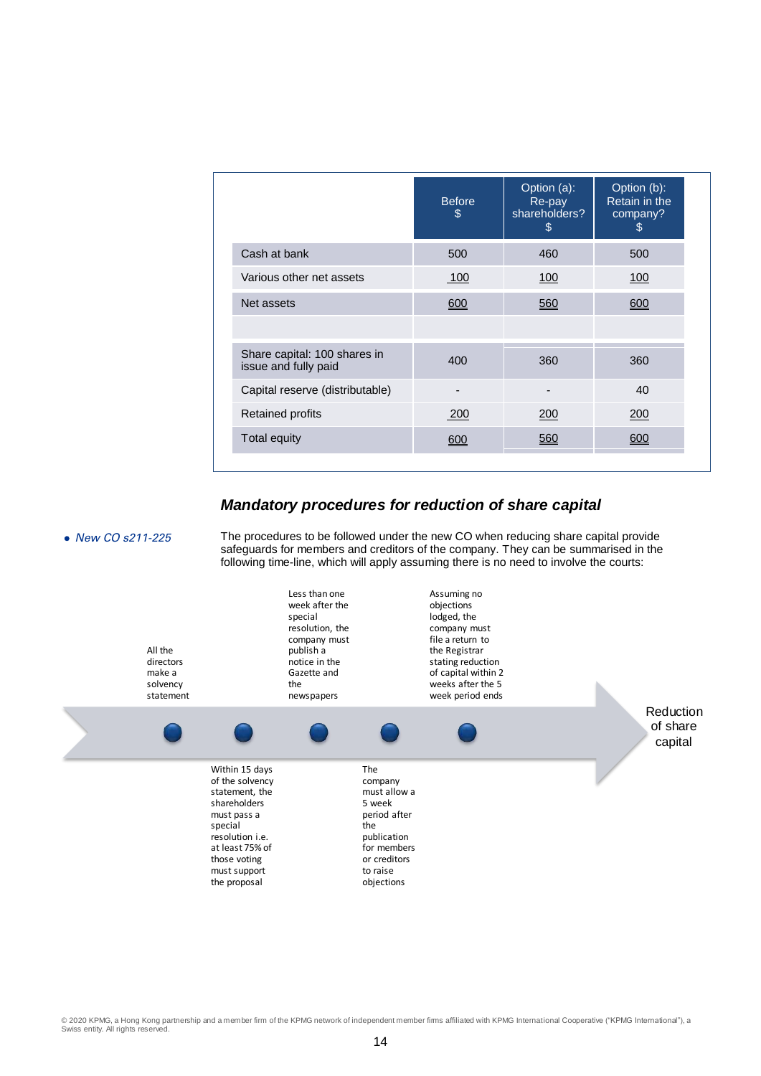|                                                      | <b>Before</b><br>\$ | Option (a):<br>Re-pay<br>shareholders?<br>\$ | Option (b):<br>Retain in the<br>company?<br>\$. |
|------------------------------------------------------|---------------------|----------------------------------------------|-------------------------------------------------|
| Cash at bank                                         | 500                 | 460                                          | 500                                             |
| Various other net assets                             | 100                 | 100                                          | 100                                             |
| Net assets                                           | 600                 | 560                                          | 600                                             |
|                                                      |                     |                                              |                                                 |
| Share capital: 100 shares in<br>issue and fully paid | 400                 | 360                                          | 360                                             |
| Capital reserve (distributable)                      |                     |                                              | 40                                              |
| <b>Retained profits</b>                              | 200                 | 200                                          | 200                                             |
| Total equity                                         | 600                 | 560                                          | 600                                             |

## *Mandatory procedures for reduction of share capital*



• New CO s211-225 The procedures to be followed under the new CO when reducing share capital provide safeguards for members and creditors of the company. They can be summarised in the following time-line, which will apply assuming there is no need to involve the courts:

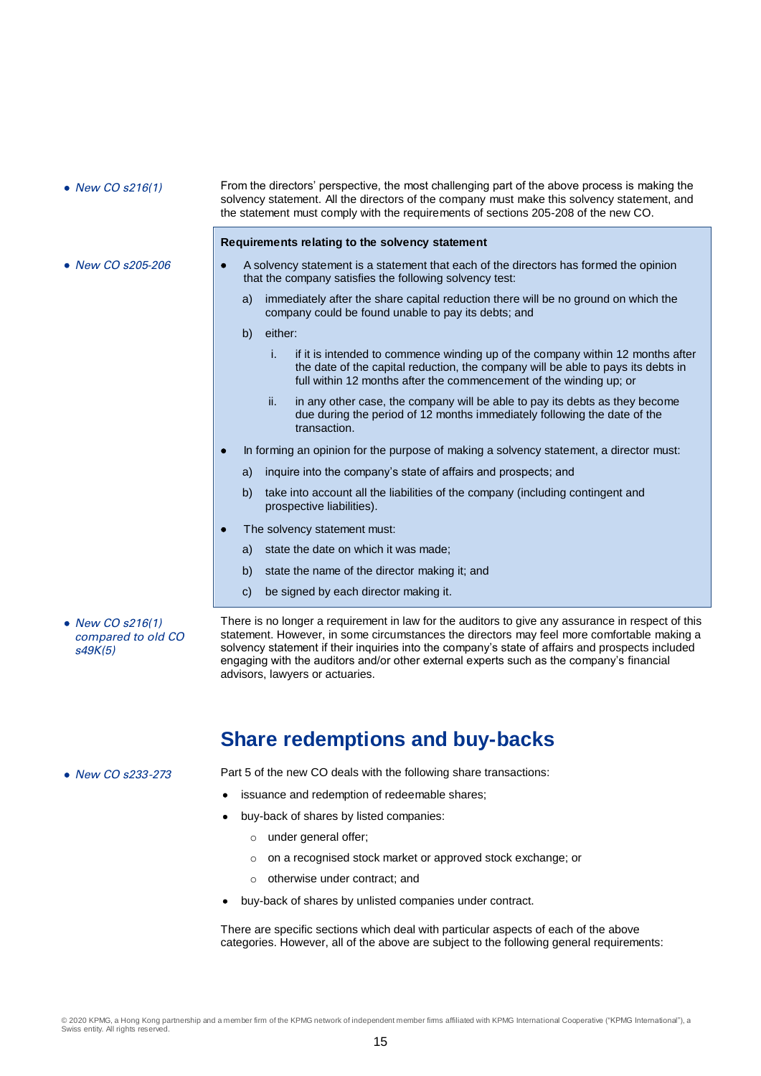• New CO s205-206

• New CO s216(1) From the directors' perspective, the most challenging part of the above process is making the solvency statement. All the directors of the company must make this solvency statement, and the statement must comply with the requirements of sections 205-208 of the new CO.

#### **Requirements relating to the solvency statement**

- A solvency statement is a statement that each of the directors has formed the opinion that the company satisfies the following solvency test:
	- a) immediately after the share capital reduction there will be no ground on which the company could be found unable to pay its debts; and
	- b) either:
		- i. if it is intended to commence winding up of the company within 12 months after the date of the capital reduction, the company will be able to pays its debts in full within 12 months after the commencement of the winding up; or
		- ii. in any other case, the company will be able to pay its debts as they become due during the period of 12 months immediately following the date of the transaction.
- In forming an opinion for the purpose of making a solvency statement, a director must:
	- a) inquire into the company's state of affairs and prospects; and
	- b) take into account all the liabilities of the company (including contingent and prospective liabilities).
- The solvency statement must:
	- a) state the date on which it was made;
	- b) state the name of the director making it; and
	- c) be signed by each director making it.
- New CO s216(1) compared to old CO  $s49K(5)$

There is no longer a requirement in law for the auditors to give any assurance in respect of this statement. However, in some circumstances the directors may feel more comfortable making a solvency statement if their inquiries into the company's state of affairs and prospects included engaging with the auditors and/or other external experts such as the company's financial advisors, lawyers or actuaries.

## **Share redemptions and buy-backs**

• New CO s233-273 Part 5 of the new CO deals with the following share transactions:

- issuance and redemption of redeemable shares;
- buy-back of shares by listed companies:
	- o under general offer;
	- o on a recognised stock market or approved stock exchange; or
	- o otherwise under contract; and
- buy-back of shares by unlisted companies under contract.

There are specific sections which deal with particular aspects of each of the above categories. However, all of the above are subject to the following general requirements: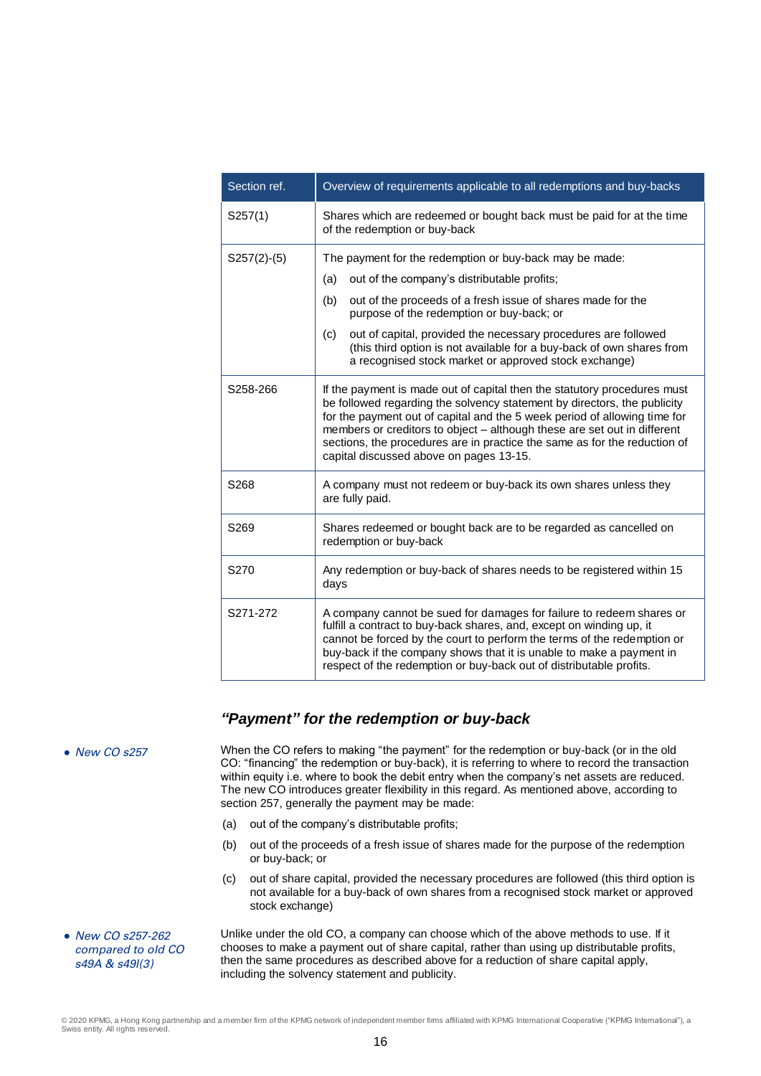| Section ref.     | Overview of requirements applicable to all redemptions and buy-backs                                                                                                                                                                                                                                                                                                                                                                  |  |  |  |  |
|------------------|---------------------------------------------------------------------------------------------------------------------------------------------------------------------------------------------------------------------------------------------------------------------------------------------------------------------------------------------------------------------------------------------------------------------------------------|--|--|--|--|
| S257(1)          | Shares which are redeemed or bought back must be paid for at the time<br>of the redemption or buy-back                                                                                                                                                                                                                                                                                                                                |  |  |  |  |
| $S257(2)-(5)$    | The payment for the redemption or buy-back may be made:                                                                                                                                                                                                                                                                                                                                                                               |  |  |  |  |
|                  | out of the company's distributable profits;<br>(a)                                                                                                                                                                                                                                                                                                                                                                                    |  |  |  |  |
|                  | out of the proceeds of a fresh issue of shares made for the<br>(b)<br>purpose of the redemption or buy-back; or                                                                                                                                                                                                                                                                                                                       |  |  |  |  |
|                  | out of capital, provided the necessary procedures are followed<br>(c)<br>(this third option is not available for a buy-back of own shares from<br>a recognised stock market or approved stock exchange)                                                                                                                                                                                                                               |  |  |  |  |
| S258-266         | If the payment is made out of capital then the statutory procedures must<br>be followed regarding the solvency statement by directors, the publicity<br>for the payment out of capital and the 5 week period of allowing time for<br>members or creditors to object - although these are set out in different<br>sections, the procedures are in practice the same as for the reduction of<br>capital discussed above on pages 13-15. |  |  |  |  |
| S268             | A company must not redeem or buy-back its own shares unless they<br>are fully paid.                                                                                                                                                                                                                                                                                                                                                   |  |  |  |  |
| S <sub>269</sub> | Shares redeemed or bought back are to be regarded as cancelled on<br>redemption or buy-back                                                                                                                                                                                                                                                                                                                                           |  |  |  |  |
| S270             | Any redemption or buy-back of shares needs to be registered within 15<br>days                                                                                                                                                                                                                                                                                                                                                         |  |  |  |  |
| S271-272         | A company cannot be sued for damages for failure to redeem shares or<br>fulfill a contract to buy-back shares, and, except on winding up, it<br>cannot be forced by the court to perform the terms of the redemption or<br>buy-back if the company shows that it is unable to make a payment in<br>respect of the redemption or buy-back out of distributable profits.                                                                |  |  |  |  |

## *"Payment" for the redemption or buy-back*

• New CO s257-262 compared to old CO s49A & s49I(3)

• New CO s257 When the CO refers to making "the payment" for the redemption or buy-back (or in the old CO: "financing" the redemption or buy-back), it is referring to where to record the transaction within equity i.e. where to book the debit entry when the company's net assets are reduced. The new CO introduces greater flexibility in this regard. As mentioned above, according to section 257, generally the payment may be made:

- (a) out of the company's distributable profits;
- (b) out of the proceeds of a fresh issue of shares made for the purpose of the redemption or buy-back; or
- (c) out of share capital, provided the necessary procedures are followed (this third option is not available for a buy-back of own shares from a recognised stock market or approved stock exchange)

Unlike under the old CO, a company can choose which of the above methods to use. If it chooses to make a payment out of share capital, rather than using up distributable profits, then the same procedures as described above for a reduction of share capital apply, including the solvency statement and publicity.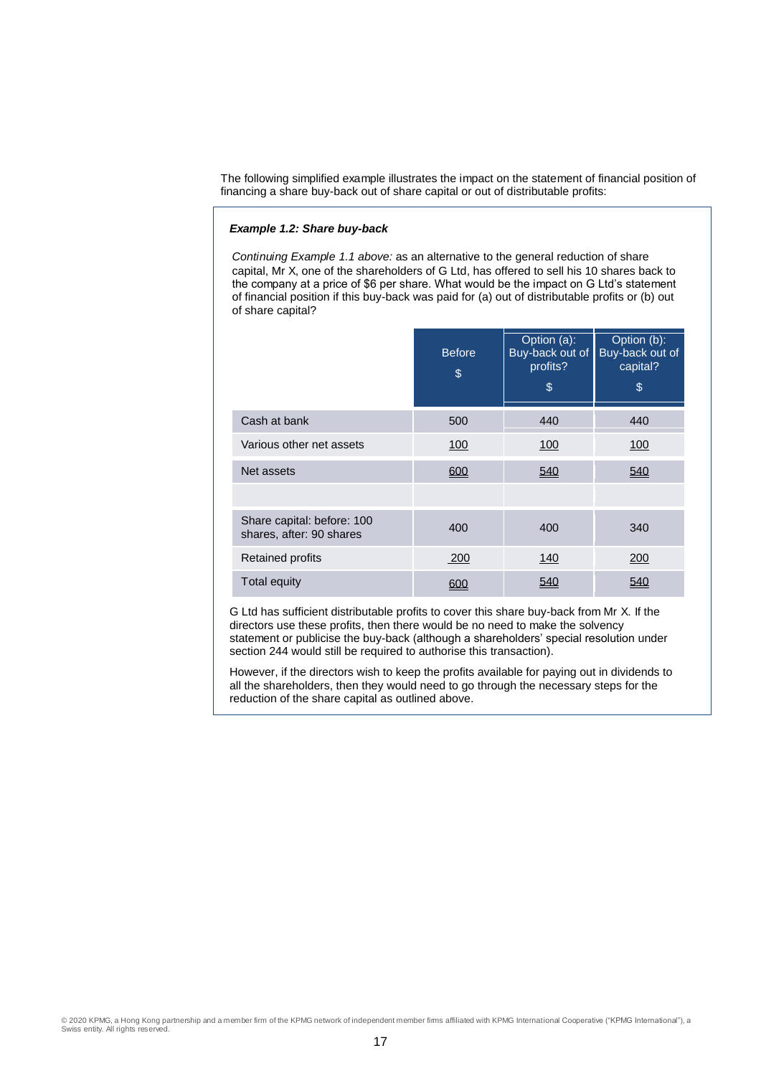The following simplified example illustrates the impact on the statement of financial position of financing a share buy-back out of share capital or out of distributable profits:

#### *Example 1.2: Share buy-back*

*Continuing Example 1.1 above:* as an alternative to the general reduction of share capital, Mr X, one of the shareholders of G Ltd, has offered to sell his 10 shares back to the company at a price of \$6 per share. What would be the impact on G Ltd's statement of financial position if this buy-back was paid for (a) out of distributable profits or (b) out of share capital?

|                                                        | <b>Before</b><br>\$ | Option (a):<br>Buy-back out of<br>profits?<br>\$ | Option (b):<br>Buy-back out of<br>capital?<br>\$ |
|--------------------------------------------------------|---------------------|--------------------------------------------------|--------------------------------------------------|
| Cash at bank                                           | 500                 | 440                                              | 440                                              |
| Various other net assets                               | 100                 | 100                                              | 100                                              |
| Net assets                                             | 600                 | 540                                              | 540                                              |
|                                                        |                     |                                                  |                                                  |
| Share capital: before: 100<br>shares, after: 90 shares | 400                 | 400                                              | 340                                              |
| <b>Retained profits</b>                                | <u>.200</u>         | 140                                              | 200                                              |
| Total equity                                           |                     | 540                                              | 540                                              |

G Ltd has sufficient distributable profits to cover this share buy-back from Mr X. If the directors use these profits, then there would be no need to make the solvency statement or publicise the buy-back (although a shareholders' special resolution under section 244 would still be required to authorise this transaction).

However, if the directors wish to keep the profits available for paying out in dividends to all the shareholders, then they would need to go through the necessary steps for the reduction of the share capital as outlined above.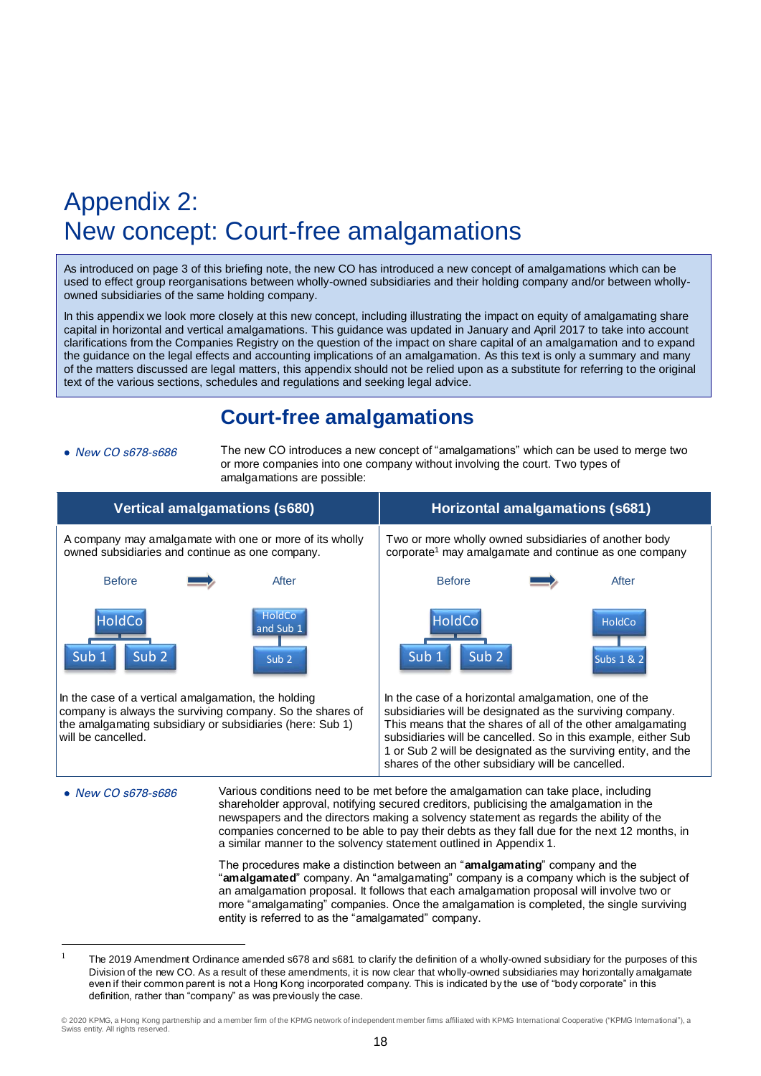## Appendix 2: New concept: Court-free amalgamations

As introduced on page 3 of this briefing note, the new CO has introduced a new concept of amalgamations which can be used to effect group reorganisations between wholly-owned subsidiaries and their holding company and/or between whollyowned subsidiaries of the same holding company.

In this appendix we look more closely at this new concept, including illustrating the impact on equity of amalgamating share capital in horizontal and vertical amalgamations. This guidance was updated in January and April 2017 to take into account clarifications from the Companies Registry on the question of the impact on share capital of an amalgamation and to expand the guidance on the legal effects and accounting implications of an amalgamation. As this text is only a summary and many of the matters discussed are legal matters, this appendix should not be relied upon as a substitute for referring to the original text of the various sections, schedules and regulations and seeking legal advice.

## **Court-free amalgamations**

 $\overline{a}$ 

• New CO s678-s686 The new CO introduces a new concept of "amalgamations" which can be used to merge two or more companies into one company without involving the court. Two types of amalgamations are possible:

|                                                                                                                                                                                                 | <b>Vertical amalgamations (s680)</b>                                                                                                                                                                                                                                                                                                                                 | <b>Horizontal amalgamations (s681)</b>                                                                                                                                                                                                                                                                                                                                                                                                         |  |                             |  |  |
|-------------------------------------------------------------------------------------------------------------------------------------------------------------------------------------------------|----------------------------------------------------------------------------------------------------------------------------------------------------------------------------------------------------------------------------------------------------------------------------------------------------------------------------------------------------------------------|------------------------------------------------------------------------------------------------------------------------------------------------------------------------------------------------------------------------------------------------------------------------------------------------------------------------------------------------------------------------------------------------------------------------------------------------|--|-----------------------------|--|--|
| owned subsidiaries and continue as one company.                                                                                                                                                 | A company may amalgamate with one or more of its wholly                                                                                                                                                                                                                                                                                                              | Two or more wholly owned subsidiaries of another body<br>corporate <sup>1</sup> may amalgamate and continue as one company                                                                                                                                                                                                                                                                                                                     |  |                             |  |  |
| <b>Before</b>                                                                                                                                                                                   | After                                                                                                                                                                                                                                                                                                                                                                | <b>Before</b>                                                                                                                                                                                                                                                                                                                                                                                                                                  |  | After                       |  |  |
| <b>HoldCo</b><br>Sub <sub>2</sub><br>Sub <sub>1</sub><br>In the case of a vertical amalgamation, the holding<br>the amalgamating subsidiary or subsidiaries (here: Sub 1)<br>will be cancelled. | HoldCo<br>and Sub 1<br>Sub <sub>2</sub><br>company is always the surviving company. So the shares of                                                                                                                                                                                                                                                                 | <b>HoldCo</b><br>Sub <sub>2</sub><br>Sub <sub>1</sub><br>In the case of a horizontal amalgamation, one of the<br>subsidiaries will be designated as the surviving company.<br>This means that the shares of all of the other amalgamating<br>subsidiaries will be cancelled. So in this example, either Sub<br>1 or Sub 2 will be designated as the surviving entity, and the<br>shares of the other subsidiary will be cancelled.             |  | <b>HoldCo</b><br>Subs 1 & 2 |  |  |
| $\bullet$ New CO $\,678\text{-}5686$                                                                                                                                                            |                                                                                                                                                                                                                                                                                                                                                                      | Various conditions need to be met before the amalgamation can take place, including<br>shareholder approval, notifying secured creditors, publicising the amalgamation in the<br>newspapers and the directors making a solvency statement as regards the ability of the<br>companies concerned to be able to pay their debts as they fall due for the next 12 months, in<br>a similar manner to the solvency statement outlined in Appendix 1. |  |                             |  |  |
|                                                                                                                                                                                                 | The procedures make a distinction between an " <b>amalgamating</b> " company and the<br>"amalgamated" company. An "amalgamating" company is a company which is the subject of<br>an amalgamation proposal. It follows that each amalgamation proposal will involve two or<br>more "amalgamating" companies. Once the amalgamation is completed, the single surviving |                                                                                                                                                                                                                                                                                                                                                                                                                                                |  |                             |  |  |

<sup>&</sup>lt;sup>1</sup> The 2019 Amendment Ordinance amended s678 and s681 to clarify the definition of a wholly-owned subsidiary for the purposes of this Division of the new CO. As a result of these amendments, it is now clear that wholly-owned subsidiaries may horizontally amalgamate even if their common parent is not a Hong Kong incorporated company. This is indicated by the use of "body corporate" in this definition, rather than "company" as was previously the case.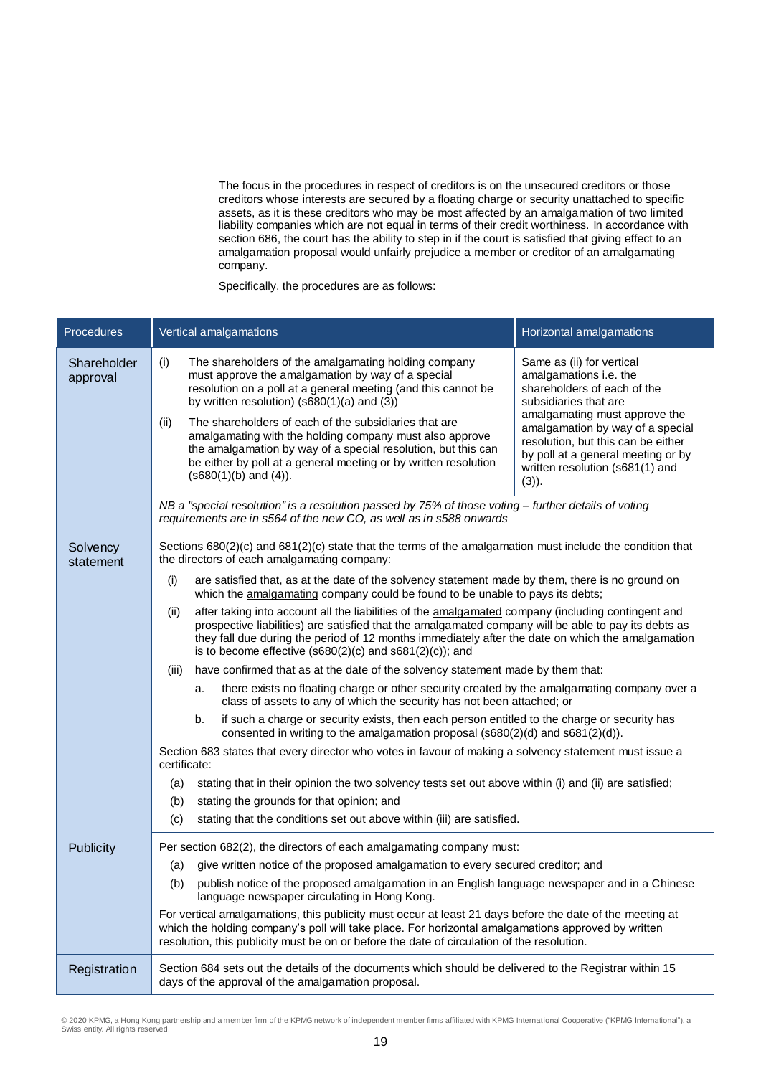The focus in the procedures in respect of creditors is on the unsecured creditors or those creditors whose interests are secured by a floating charge or security unattached to specific assets, as it is these creditors who may be most affected by an amalgamation of two limited liability companies which are not equal in terms of their credit worthiness. In accordance with section 686, the court has the ability to step in if the court is satisfied that giving effect to an amalgamation proposal would unfairly prejudice a member or creditor of an amalgamating company.

Specifically, the procedures are as follows:

| <b>Procedures</b>       |       |              | Vertical amalgamations                                                                                                                                                                                                                                                                                       | Horizontal amalgamations                                                                                                                                                                                                                                                                                        |  |  |  |  |
|-------------------------|-------|--------------|--------------------------------------------------------------------------------------------------------------------------------------------------------------------------------------------------------------------------------------------------------------------------------------------------------------|-----------------------------------------------------------------------------------------------------------------------------------------------------------------------------------------------------------------------------------------------------------------------------------------------------------------|--|--|--|--|
| Shareholder<br>approval | (i)   |              | The shareholders of the amalgamating holding company<br>must approve the amalgamation by way of a special<br>resolution on a poll at a general meeting (and this cannot be<br>by written resolution) ( $s680(1)(a)$ and (3))                                                                                 | Same as (ii) for vertical<br>amalgamations i.e. the<br>shareholders of each of the<br>subsidiaries that are                                                                                                                                                                                                     |  |  |  |  |
|                         | (ii)  |              | The shareholders of each of the subsidiaries that are<br>amalgamating with the holding company must also approve<br>the amalgamation by way of a special resolution, but this can<br>be either by poll at a general meeting or by written resolution<br>$(s680(1)(b)$ and $(4)$ ).                           | amalgamating must approve the<br>amalgamation by way of a special<br>resolution, but this can be either<br>by poll at a general meeting or by<br>written resolution (s681(1) and<br>$(3)$ ).                                                                                                                    |  |  |  |  |
|                         |       |              | NB a "special resolution" is a resolution passed by 75% of those voting - further details of voting<br>requirements are in s564 of the new CO, as well as in s588 onwards                                                                                                                                    |                                                                                                                                                                                                                                                                                                                 |  |  |  |  |
| Solvency<br>statement   |       |              | Sections $680(2)(c)$ and $681(2)(c)$ state that the terms of the amalgamation must include the condition that<br>the directors of each amalgamating company:                                                                                                                                                 |                                                                                                                                                                                                                                                                                                                 |  |  |  |  |
|                         | (i)   |              | are satisfied that, as at the date of the solvency statement made by them, there is no ground on<br>which the amalgamating company could be found to be unable to pays its debts;                                                                                                                            |                                                                                                                                                                                                                                                                                                                 |  |  |  |  |
|                         | (ii)  |              | is to become effective $(s680(2)(c)$ and $s681(2)(c)$ ; and                                                                                                                                                                                                                                                  | after taking into account all the liabilities of the amalgamated company (including contingent and<br>prospective liabilities) are satisfied that the amalgamated company will be able to pay its debts as<br>they fall due during the period of 12 months immediately after the date on which the amalgamation |  |  |  |  |
|                         | (iii) |              | have confirmed that as at the date of the solvency statement made by them that:                                                                                                                                                                                                                              |                                                                                                                                                                                                                                                                                                                 |  |  |  |  |
|                         |       | a.           | there exists no floating charge or other security created by the amalgamating company over a<br>class of assets to any of which the security has not been attached; or                                                                                                                                       |                                                                                                                                                                                                                                                                                                                 |  |  |  |  |
|                         |       | b.           | if such a charge or security exists, then each person entitled to the charge or security has<br>consented in writing to the amalgamation proposal (s680(2)(d) and s681(2)(d)).                                                                                                                               |                                                                                                                                                                                                                                                                                                                 |  |  |  |  |
|                         |       | certificate: | Section 683 states that every director who votes in favour of making a solvency statement must issue a                                                                                                                                                                                                       |                                                                                                                                                                                                                                                                                                                 |  |  |  |  |
|                         | (a)   |              | stating that in their opinion the two solvency tests set out above within (i) and (ii) are satisfied;                                                                                                                                                                                                        |                                                                                                                                                                                                                                                                                                                 |  |  |  |  |
|                         | (b)   |              | stating the grounds for that opinion; and                                                                                                                                                                                                                                                                    |                                                                                                                                                                                                                                                                                                                 |  |  |  |  |
|                         | (c)   |              | stating that the conditions set out above within (iii) are satisfied.                                                                                                                                                                                                                                        |                                                                                                                                                                                                                                                                                                                 |  |  |  |  |
| <b>Publicity</b>        |       |              | Per section 682(2), the directors of each amalgamating company must:                                                                                                                                                                                                                                         |                                                                                                                                                                                                                                                                                                                 |  |  |  |  |
|                         | (a)   |              | give written notice of the proposed amalgamation to every secured creditor; and                                                                                                                                                                                                                              |                                                                                                                                                                                                                                                                                                                 |  |  |  |  |
|                         | (b)   |              | publish notice of the proposed amalgamation in an English language newspaper and in a Chinese<br>language newspaper circulating in Hong Kong.                                                                                                                                                                |                                                                                                                                                                                                                                                                                                                 |  |  |  |  |
|                         |       |              | For vertical amalgamations, this publicity must occur at least 21 days before the date of the meeting at<br>which the holding company's poll will take place. For horizontal amalgamations approved by written<br>resolution, this publicity must be on or before the date of circulation of the resolution. |                                                                                                                                                                                                                                                                                                                 |  |  |  |  |
| Registration            |       |              | Section 684 sets out the details of the documents which should be delivered to the Registrar within 15<br>days of the approval of the amalgamation proposal.                                                                                                                                                 |                                                                                                                                                                                                                                                                                                                 |  |  |  |  |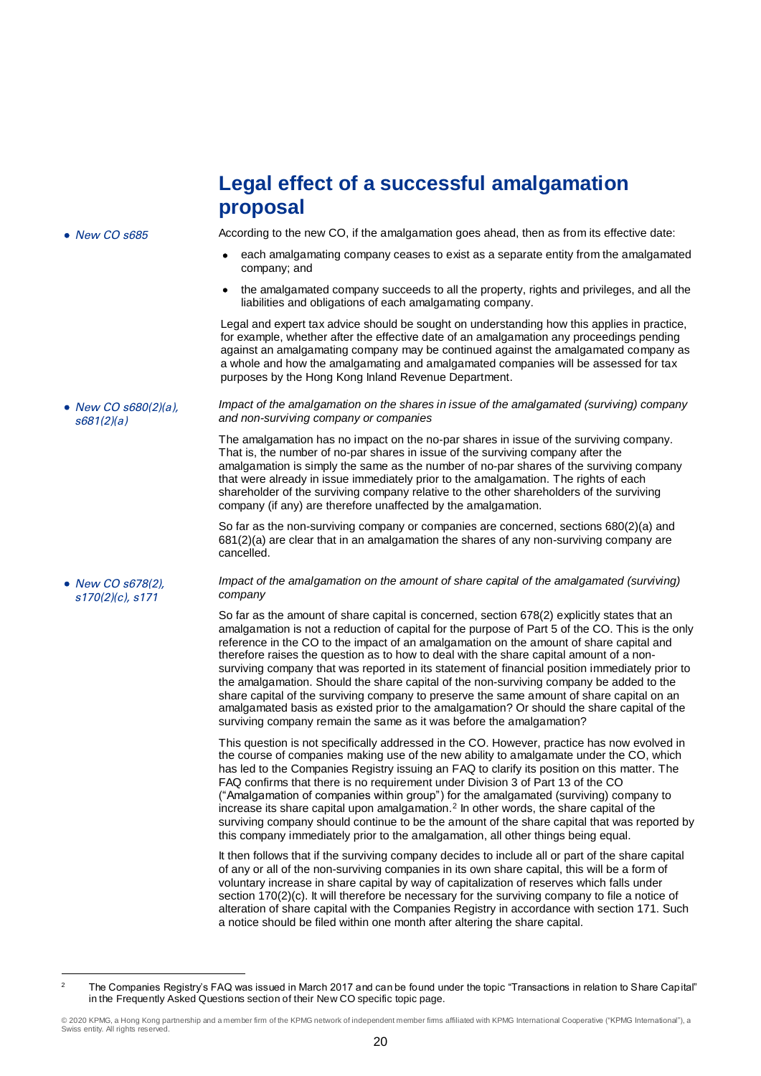## **Legal effect of a successful amalgamation proposal**

• New CO s685 According to the new CO, if the amalgamation goes ahead, then as from its effective date:

- each amalgamating company ceases to exist as a separate entity from the amalgamated company; and
- the amalgamated company succeeds to all the property, rights and privileges, and all the liabilities and obligations of each amalgamating company.

Legal and expert tax advice should be sought on understanding how this applies in practice, for example, whether after the effective date of an amalgamation any proceedings pending against an amalgamating company may be continued against the amalgamated company as a whole and how the amalgamating and amalgamated companies will be assessed for tax purposes by the Hong Kong Inland Revenue Department.

*Impact of the amalgamation on the shares in issue of the amalgamated (surviving) company and non-surviving company or companies*

The amalgamation has no impact on the no-par shares in issue of the surviving company. That is, the number of no-par shares in issue of the surviving company after the amalgamation is simply the same as the number of no-par shares of the surviving company that were already in issue immediately prior to the amalgamation. The rights of each shareholder of the surviving company relative to the other shareholders of the surviving company (if any) are therefore unaffected by the amalgamation.

So far as the non-surviving company or companies are concerned, sections 680(2)(a) and 681(2)(a) are clear that in an amalgamation the shares of any non-surviving company are cancelled.

• New CO s678(2). s170(2)(c), s171

• New CO s680(2)(a), s681(2)(a)

> *Impact of the amalgamation on the amount of share capital of the amalgamated (surviving) company*

So far as the amount of share capital is concerned, section 678(2) explicitly states that an amalgamation is not a reduction of capital for the purpose of Part 5 of the CO. This is the only reference in the CO to the impact of an amalgamation on the amount of share capital and therefore raises the question as to how to deal with the share capital amount of a nonsurviving company that was reported in its statement of financial position immediately prior to the amalgamation. Should the share capital of the non-surviving company be added to the share capital of the surviving company to preserve the same amount of share capital on an amalgamated basis as existed prior to the amalgamation? Or should the share capital of the surviving company remain the same as it was before the amalgamation?

This question is not specifically addressed in the CO. However, practice has now evolved in the course of companies making use of the new ability to amalgamate under the CO, which has led to the Companies Registry issuing an FAQ to clarify its position on this matter. The FAQ confirms that there is no requirement under Division 3 of Part 13 of the CO ("Amalgamation of companies within group") for the amalgamated (surviving) company to increase its share capital upon amalgamation.<sup>2</sup> In other words, the share capital of the surviving company should continue to be the amount of the share capital that was reported by this company immediately prior to the amalgamation, all other things being equal.

It then follows that if the surviving company decides to include all or part of the share capital of any or all of the non-surviving companies in its own share capital, this will be a form of voluntary increase in share capital by way of capitalization of reserves which falls under section 170(2)(c). It will therefore be necessary for the surviving company to file a notice of alteration of share capital with the Companies Registry in accordance with section 171. Such a notice should be filed within one month after altering the share capital.

 $\overline{2}$ <sup>2</sup> The Companies Registry's FAQ was issued in March 2017 and can be found under the topic "Transactions in relation to Share Capital" in the Frequently Asked Questions section of their New CO specific topic page.

<sup>© 2020</sup> KPMG, a Hong Kong partnership and a member firm of the KPMG network of independent member firms affiliated with KPMG International Cooperative ("KPMG International"), a Swiss entity. All rights reserved.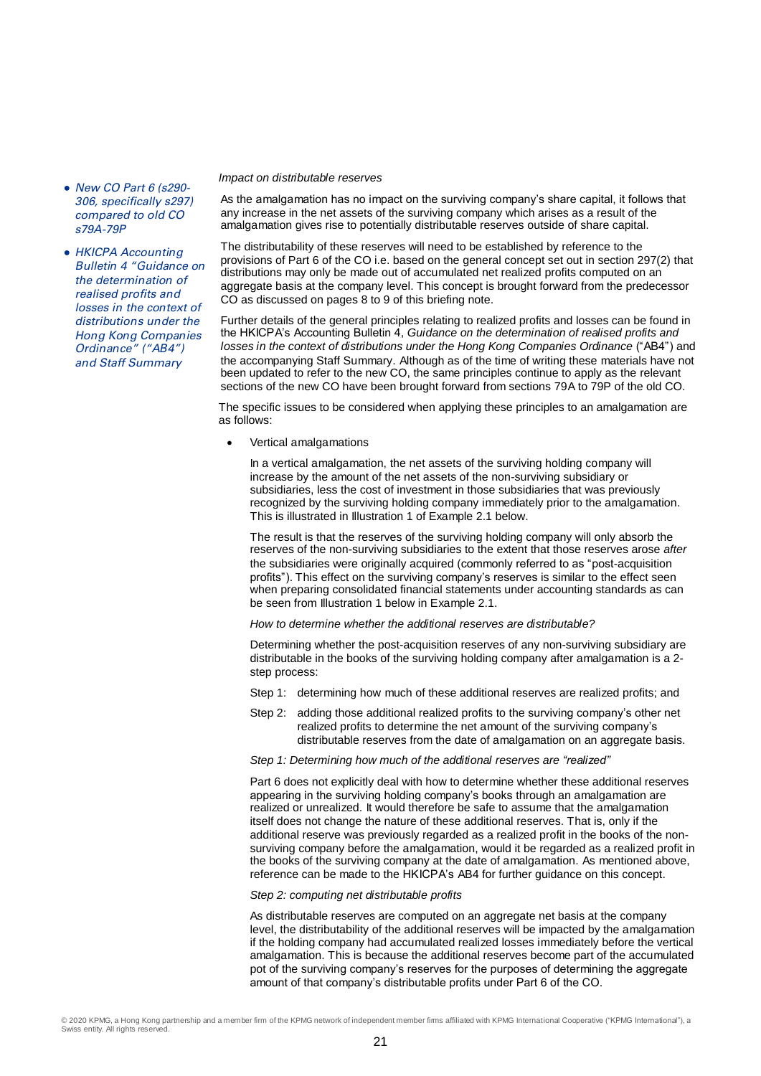- New CO Part 6 (s290- 306, specifically s297) compared to old CO s79A-79P
- HKICPA Accounting Bulletin 4 "Guidance on the determination of realised profits and losses in the context of distributions under the Hong Kong Companies Ordinance" ("AB4") and Staff Summary

#### *Impact on distributable reserves*

As the amalgamation has no impact on the surviving company's share capital, it follows that any increase in the net assets of the surviving company which arises as a result of the amalgamation gives rise to potentially distributable reserves outside of share capital.

The distributability of these reserves will need to be established by reference to the provisions of Part 6 of the CO i.e. based on the general concept set out in section 297(2) that distributions may only be made out of accumulated net realized profits computed on an aggregate basis at the company level. This concept is brought forward from the predecessor CO as discussed on pages 8 to 9 of this briefing note.

Further details of the general principles relating to realized profits and losses can be found in the HKICPA's Accounting Bulletin 4, *Guidance on the determination of realised profits and losses in the context of distributions under the Hong Kong Companies Ordinance* ("AB4") and the accompanying Staff Summary. Although as of the time of writing these materials have not been updated to refer to the new CO, the same principles continue to apply as the relevant sections of the new CO have been brought forward from sections 79A to 79P of the old CO.

The specific issues to be considered when applying these principles to an amalgamation are as follows:

Vertical amalgamations

In a vertical amalgamation, the net assets of the surviving holding company will increase by the amount of the net assets of the non-surviving subsidiary or subsidiaries, less the cost of investment in those subsidiaries that was previously recognized by the surviving holding company immediately prior to the amalgamation. This is illustrated in Illustration 1 of Example 2.1 below.

The result is that the reserves of the surviving holding company will only absorb the reserves of the non-surviving subsidiaries to the extent that those reserves arose *after* the subsidiaries were originally acquired (commonly referred to as "post-acquisition profits"). This effect on the surviving company's reserves is similar to the effect seen when preparing consolidated financial statements under accounting standards as can be seen from Illustration 1 below in Example 2.1.

*How to determine whether the additional reserves are distributable?*

Determining whether the post-acquisition reserves of any non-surviving subsidiary are distributable in the books of the surviving holding company after amalgamation is a 2 step process:

- Step 1: determining how much of these additional reserves are realized profits; and
- Step 2: adding those additional realized profits to the surviving company's other net realized profits to determine the net amount of the surviving company's distributable reserves from the date of amalgamation on an aggregate basis.
- *Step 1: Determining how much of the additional reserves are "realized"*

Part 6 does not explicitly deal with how to determine whether these additional reserves appearing in the surviving holding company's books through an amalgamation are realized or unrealized. It would therefore be safe to assume that the amalgamation itself does not change the nature of these additional reserves. That is, only if the additional reserve was previously regarded as a realized profit in the books of the nonsurviving company before the amalgamation, would it be regarded as a realized profit in the books of the surviving company at the date of amalgamation. As mentioned above, reference can be made to the HKICPA's AB4 for further guidance on this concept.

#### *Step 2: computing net distributable profits*

As distributable reserves are computed on an aggregate net basis at the company level, the distributability of the additional reserves will be impacted by the amalgamation if the holding company had accumulated realized losses immediately before the vertical amalgamation. This is because the additional reserves become part of the accumulated pot of the surviving company's reserves for the purposes of determining the aggregate amount of that company's distributable profits under Part 6 of the CO.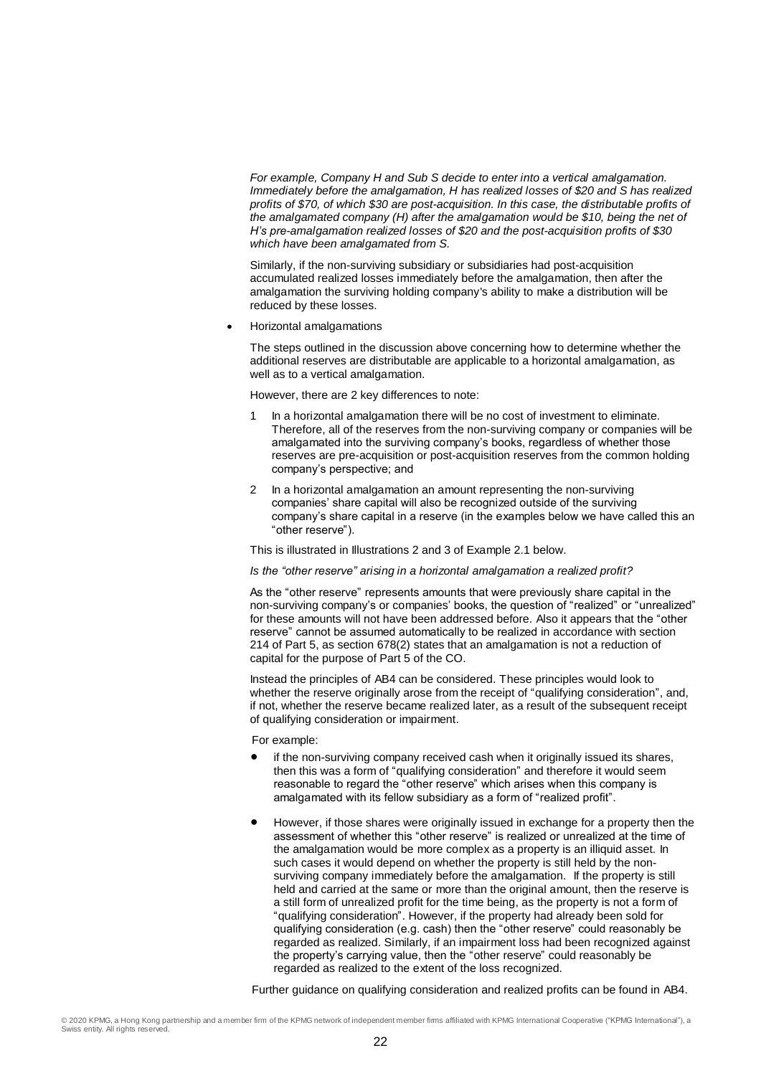*For example, Company H and Sub S decide to enter into a vertical amalgamation. Immediately before the amalgamation, H has realized losses of \$20 and S has realized profits of \$70, of which \$30 are post-acquisition. In this case, the distributable profits of the amalgamated company (H) after the amalgamation would be \$10, being the net of H's pre-amalgamation realized losses of \$20 and the post-acquisition profits of \$30 which have been amalgamated from S.*

Similarly, if the non-surviving subsidiary or subsidiaries had post-acquisition accumulated realized losses immediately before the amalgamation, then after the amalgamation the surviving holding company's ability to make a distribution will be reduced by these losses.

Horizontal amalgamations

The steps outlined in the discussion above concerning how to determine whether the additional reserves are distributable are applicable to a horizontal amalgamation, as well as to a vertical amalgamation.

However, there are 2 key differences to note:

- In a horizontal amalgamation there will be no cost of investment to eliminate. Therefore, all of the reserves from the non-surviving company or companies will be amalgamated into the surviving company's books, regardless of whether those reserves are pre-acquisition or post-acquisition reserves from the common holding company's perspective; and
- 2 In a horizontal amalgamation an amount representing the non-surviving companies' share capital will also be recognized outside of the surviving company's share capital in a reserve (in the examples below we have called this an "other reserve").

This is illustrated in Illustrations 2 and 3 of Example 2.1 below.

*Is the "other reserve" arising in a horizontal amalgamation a realized profit?*

As the "other reserve" represents amounts that were previously share capital in the non-surviving company's or companies' books, the question of "realized" or "unrealized" for these amounts will not have been addressed before. Also it appears that the "other reserve" cannot be assumed automatically to be realized in accordance with section 214 of Part 5, as section 678(2) states that an amalgamation is not a reduction of capital for the purpose of Part 5 of the CO.

Instead the principles of AB4 can be considered. These principles would look to whether the reserve originally arose from the receipt of "qualifying consideration", and, if not, whether the reserve became realized later, as a result of the subsequent receipt of qualifying consideration or impairment.

For example:

- if the non-surviving company received cash when it originally issued its shares, then this was a form of "qualifying consideration" and therefore it would seem reasonable to regard the "other reserve" which arises when this company is amalgamated with its fellow subsidiary as a form of "realized profit".
- However, if those shares were originally issued in exchange for a property then the assessment of whether this "other reserve" is realized or unrealized at the time of the amalgamation would be more complex as a property is an illiquid asset. In such cases it would depend on whether the property is still held by the nonsurviving company immediately before the amalgamation. If the property is still held and carried at the same or more than the original amount, then the reserve is a still form of unrealized profit for the time being, as the property is not a form of "qualifying consideration". However, if the property had already been sold for qualifying consideration (e.g. cash) then the "other reserve" could reasonably be regarded as realized. Similarly, if an impairment loss had been recognized against the property's carrying value, then the "other reserve" could reasonably be regarded as realized to the extent of the loss recognized.

Further guidance on qualifying consideration and realized profits can be found in AB4.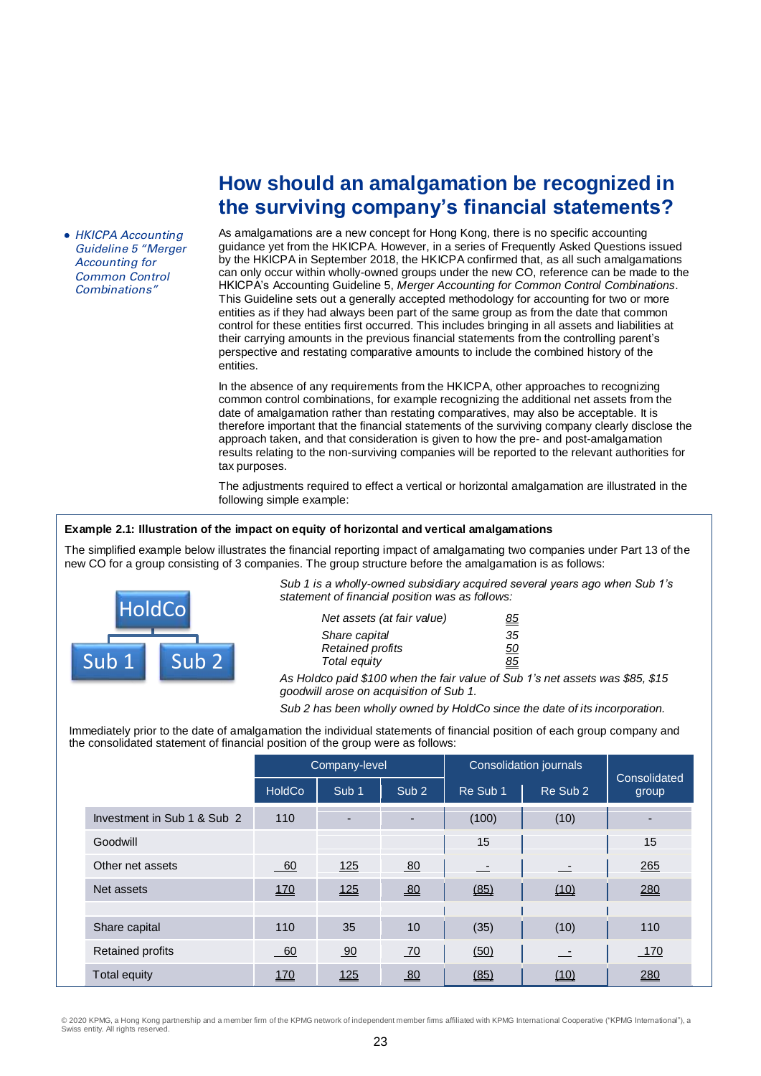• HKICPA Accounting Guideline 5 "Merger Accounting for Common Control Combinations"

## **How should an amalgamation be recognized in the surviving company's financial statements?**

As amalgamations are a new concept for Hong Kong, there is no specific accounting guidance yet from the HKICPA. However, in a series of Frequently Asked Questions issued by the HKICPA in September 2018, the HKICPA confirmed that, as all such amalgamations can only occur within wholly-owned groups under the new CO, reference can be made to the HKICPA's Accounting Guideline 5, *Merger Accounting for Common Control Combinations*. This Guideline sets out a generally accepted methodology for accounting for two or more entities as if they had always been part of the same group as from the date that common control for these entities first occurred. This includes bringing in all assets and liabilities at their carrying amounts in the previous financial statements from the controlling parent's perspective and restating comparative amounts to include the combined history of the entities.

In the absence of any requirements from the HKICPA, other approaches to recognizing common control combinations, for example recognizing the additional net assets from the date of amalgamation rather than restating comparatives, may also be acceptable. It is therefore important that the financial statements of the surviving company clearly disclose the approach taken, and that consideration is given to how the pre- and post-amalgamation results relating to the non-surviving companies will be reported to the relevant authorities for tax purposes.

The adjustments required to effect a vertical or horizontal amalgamation are illustrated in the following simple example:

## **Example 2.1: Illustration of the impact on equity of horizontal and vertical amalgamations**

The simplified example below illustrates the financial reporting impact of amalgamating two companies under Part 13 of the new CO for a group consisting of 3 companies. The group structure before the amalgamation is as follows:



*Sub 1 is a wholly-owned subsidiary acquired several years ago when Sub 1's statement of financial position was as follows:*

| Net assets (at fair value) | <u>85</u> |
|----------------------------|-----------|
| Share capital              | 35        |
| Retained profits           | <u>50</u> |
| Total equity               | <u>85</u> |

*As Holdco paid \$100 when the fair value of Sub 1's net assets was \$85, \$15 goodwill arose on acquisition of Sub 1.*

*Sub 2 has been wholly owned by HoldCo since the date of its incorporation.*

Immediately prior to the date of amalgamation the individual statements of financial position of each group company and the consolidated statement of financial position of the group were as follows:

|                             |               | Company-level    |                          |          | Consolidation journals |                       |  |
|-----------------------------|---------------|------------------|--------------------------|----------|------------------------|-----------------------|--|
|                             | <b>HoldCo</b> | Sub <sub>1</sub> | Sub <sub>2</sub>         | Re Sub 1 | Re Sub 2               | Consolidated<br>group |  |
| Investment in Sub 1 & Sub 2 | 110           |                  | $\overline{\phantom{a}}$ | (100)    | (10)                   |                       |  |
| Goodwill                    |               |                  |                          | 15       |                        | 15                    |  |
| Other net assets            | $-60$         | <u>125</u>       | 80                       | $\equiv$ | $\sim$ $-$             | 265                   |  |
| Net assets                  | 170           | 125              | 80                       | (85)     | (10)                   | 280                   |  |
|                             |               |                  |                          |          |                        |                       |  |
| Share capital               | 110           | 35               | 10                       | (35)     | (10)                   | 110                   |  |
| <b>Retained profits</b>     | $-60$         | 90               | 70                       | (50)     | 二                      | 170                   |  |
| Total equity                | <u>170</u>    | 125              | 80                       | (85)     | (10)                   | 280                   |  |

© 2020 KPMG, a Hong Kong partnership and a member firm of the KPMG network of independent member firms affiliated with KPMG International Cooperative ("KPMG International"), a Swiss entity. All rights reserved.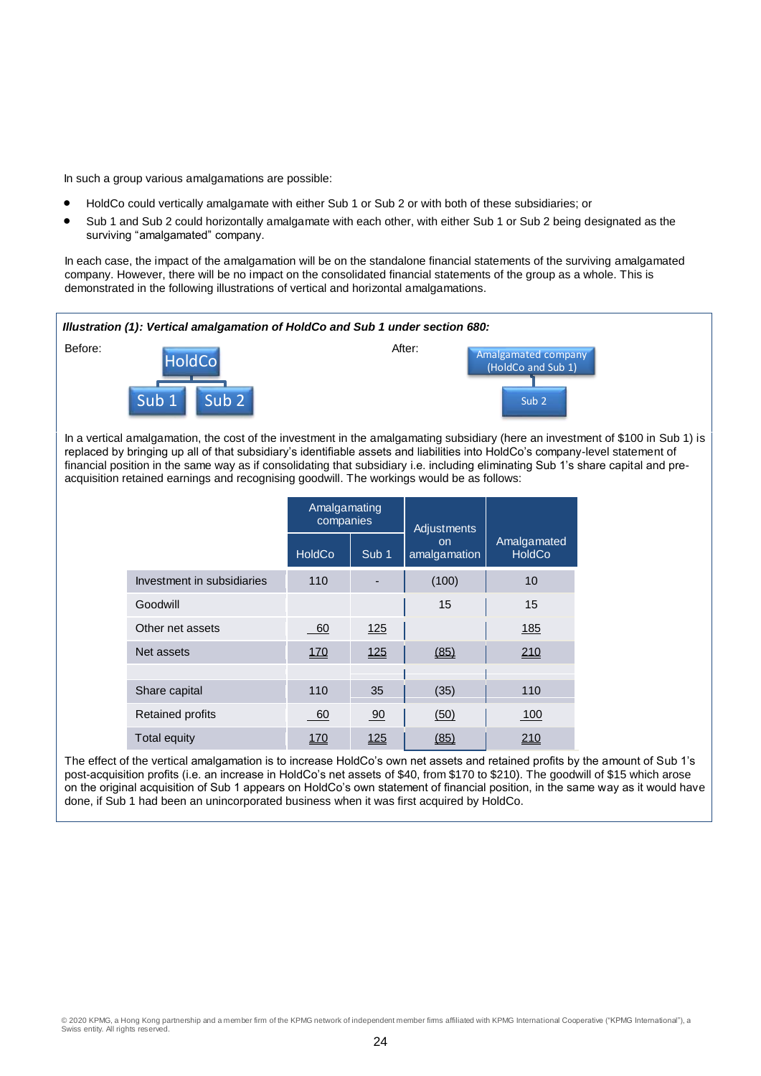In such a group various amalgamations are possible:

- HoldCo could vertically amalgamate with either Sub 1 or Sub 2 or with both of these subsidiaries; or
- Sub 1 and Sub 2 could horizontally amalgamate with each other, with either Sub 1 or Sub 2 being designated as the surviving "amalgamated" company.

In each case, the impact of the amalgamation will be on the standalone financial statements of the surviving amalgamated company. However, there will be no impact on the consolidated financial statements of the group as a whole. This is demonstrated in the following illustrations of vertical and horizontal amalgamations.



The effect of the vertical amalgamation is to increase HoldCo's own net assets and retained profits by the amount of Sub 1's post-acquisition profits (i.e. an increase in HoldCo's net assets of \$40, from \$170 to \$210). The goodwill of \$15 which arose on the original acquisition of Sub 1 appears on HoldCo's own statement of financial position, in the same way as it would have done, if Sub 1 had been an unincorporated business when it was first acquired by HoldCo.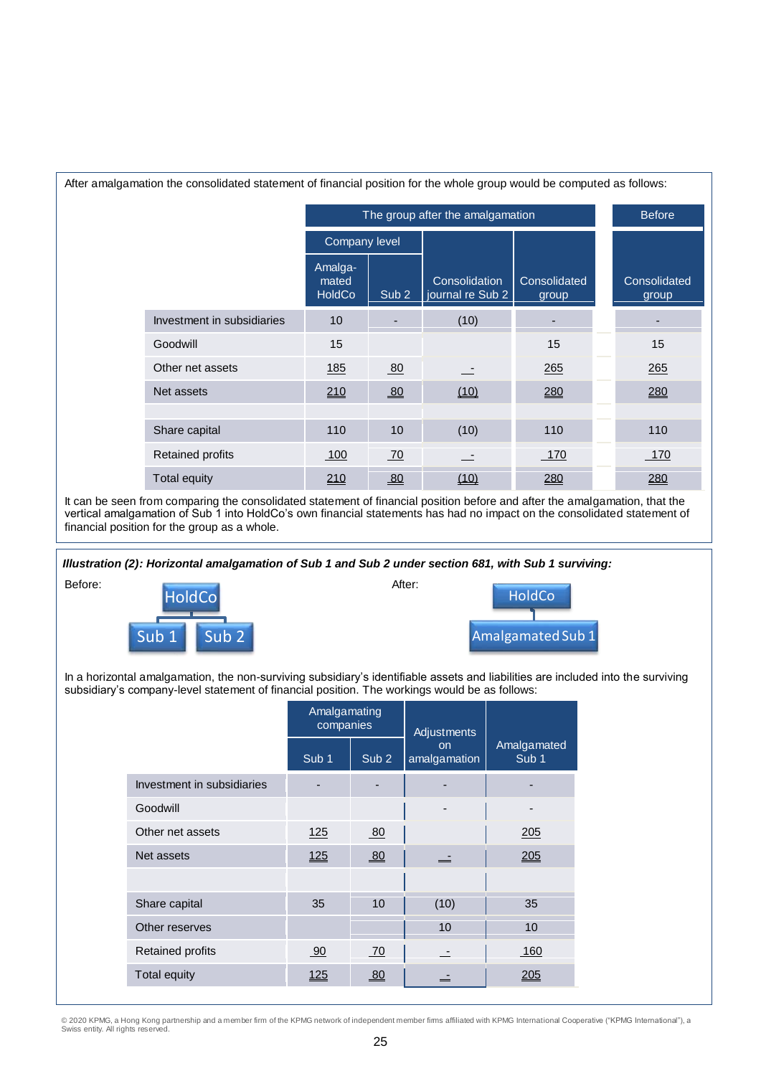| After amalgamation the consolidated statement of financial position for the whole group would be computed as follows: |                                   |                  |                                   |                       |  |                       |
|-----------------------------------------------------------------------------------------------------------------------|-----------------------------------|------------------|-----------------------------------|-----------------------|--|-----------------------|
|                                                                                                                       | The group after the amalgamation  |                  |                                   |                       |  | <b>Before</b>         |
|                                                                                                                       | Company level                     |                  |                                   |                       |  |                       |
|                                                                                                                       | Amalga-<br>mated<br><b>HoldCo</b> | Sub <sub>2</sub> | Consolidation<br>journal re Sub 2 | Consolidated<br>group |  | Consolidated<br>group |
| Investment in subsidiaries                                                                                            | 10                                |                  | (10)                              |                       |  |                       |
| Goodwill                                                                                                              | 15                                |                  |                                   | 15                    |  | 15                    |
| Other net assets                                                                                                      | <u>185</u>                        | 80               |                                   | 265                   |  | 265                   |
| Net assets                                                                                                            | 210                               | 80               | (10)                              | 280                   |  | 280                   |
|                                                                                                                       |                                   |                  |                                   |                       |  |                       |
| Share capital                                                                                                         | 110                               | 10               | (10)                              | 110                   |  | 110                   |
| Retained profits                                                                                                      | 100                               | 70               |                                   | 170                   |  | 170                   |
| Total equity                                                                                                          | 210                               | 80               | (10)                              | 280                   |  | 280                   |

It can be seen from comparing the consolidated statement of financial position before and after the amalgamation, that the vertical amalgamation of Sub 1 into HoldCo's own financial statements has had no impact on the consolidated statement of financial position for the group as a whole.

*Illustration (2): Horizontal amalgamation of Sub 1 and Sub 2 under section 681, with Sub 1 surviving:*





In a horizontal amalgamation, the non-surviving subsidiary's identifiable assets and liabilities are included into the surviving subsidiary's company-level statement of financial position. The workings would be as follows:

|                            | Amalgamating<br>companies |                  | Adjustments              |                                 |
|----------------------------|---------------------------|------------------|--------------------------|---------------------------------|
|                            | Sub <sub>1</sub>          | Sub <sub>2</sub> | on<br>amalgamation       | Amalgamated<br>Sub <sub>1</sub> |
| Investment in subsidiaries |                           |                  |                          |                                 |
| Goodwill                   |                           |                  | $\overline{\phantom{a}}$ |                                 |
| Other net assets           | 125                       | 80               |                          | 205                             |
| Net assets                 | 125                       | 80               | 二                        | 205                             |
|                            |                           |                  |                          |                                 |
| Share capital              | 35                        | 10               | (10)                     | 35                              |
| Other reserves             |                           |                  | 10                       | 10                              |
| <b>Retained profits</b>    | 90                        | 70               | $\overline{\phantom{a}}$ | 160                             |
| Total equity               | <u>125</u>                | $\underline{80}$ | —                        | <u> 205</u>                     |

© 2020 KPMG, a Hong Kong partnership and a member firm of the KPMG network of independent member firms affiliated with KPMG International Cooperative ("KPMG International"), a<br>Swiss entity. All rights reserved.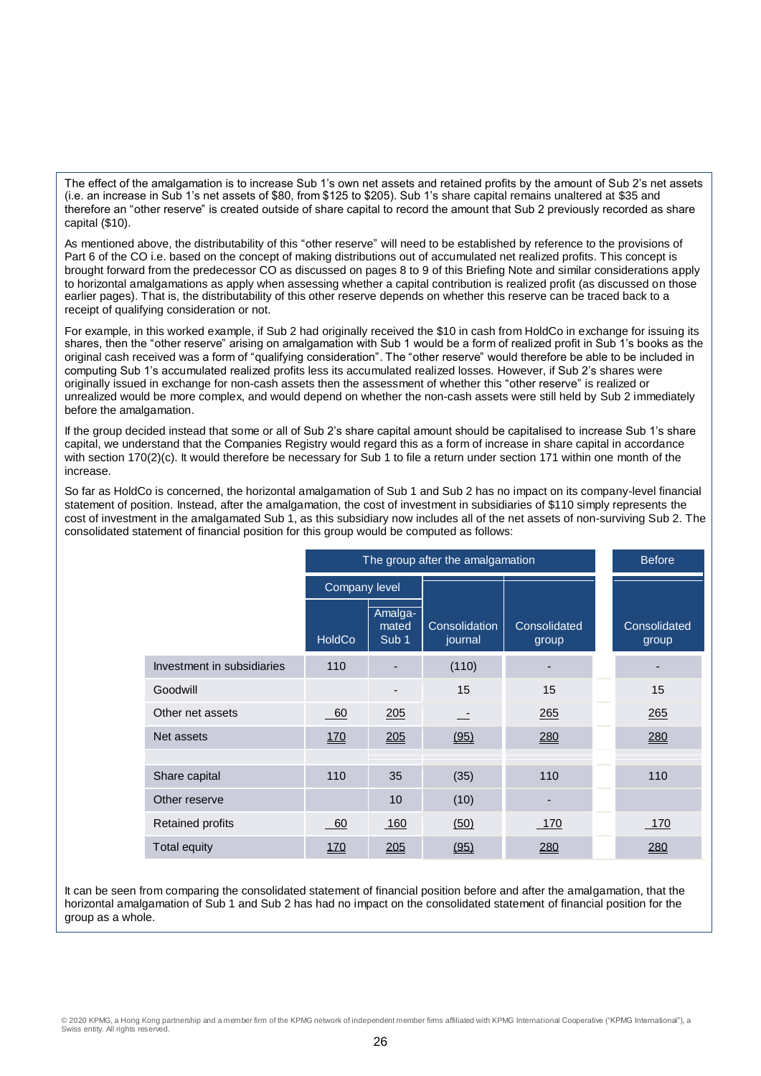The effect of the amalgamation is to increase Sub 1's own net assets and retained profits by the amount of Sub 2's net assets (i.e. an increase in Sub 1's net assets of \$80, from \$125 to \$205). Sub 1's share capital remains unaltered at \$35 and therefore an "other reserve" is created outside of share capital to record the amount that Sub 2 previously recorded as share capital (\$10).

As mentioned above, the distributability of this "other reserve" will need to be established by reference to the provisions of Part 6 of the CO i.e. based on the concept of making distributions out of accumulated net realized profits. This concept is brought forward from the predecessor CO as discussed on pages 8 to 9 of this Briefing Note and similar considerations apply to horizontal amalgamations as apply when assessing whether a capital contribution is realized profit (as discussed on those earlier pages). That is, the distributability of this other reserve depends on whether this reserve can be traced back to a receipt of qualifying consideration or not.

For example, in this worked example, if Sub 2 had originally received the \$10 in cash from HoldCo in exchange for issuing its shares, then the "other reserve" arising on amalgamation with Sub 1 would be a form of realized profit in Sub 1's books as the original cash received was a form of "qualifying consideration". The "other reserve" would therefore be able to be included in computing Sub 1's accumulated realized profits less its accumulated realized losses. However, if Sub 2's shares were originally issued in exchange for non-cash assets then the assessment of whether this "other reserve" is realized or unrealized would be more complex, and would depend on whether the non-cash assets were still held by Sub 2 immediately before the amalgamation.

If the group decided instead that some or all of Sub 2's share capital amount should be capitalised to increase Sub 1's share capital, we understand that the Companies Registry would regard this as a form of increase in share capital in accordance with section 170(2)(c). It would therefore be necessary for Sub 1 to file a return under section 171 within one month of the increase.

So far as HoldCo is concerned, the horizontal amalgamation of Sub 1 and Sub 2 has no impact on its company-level financial statement of position. Instead, after the amalgamation, the cost of investment in subsidiaries of \$110 simply represents the cost of investment in the amalgamated Sub 1, as this subsidiary now includes all of the net assets of non-surviving Sub 2. The consolidated statement of financial position for this group would be computed as follows:

|                            | The group after the amalgamation | <b>Before</b>                        |                          |                       |                       |
|----------------------------|----------------------------------|--------------------------------------|--------------------------|-----------------------|-----------------------|
|                            | Company level                    |                                      |                          |                       |                       |
|                            | <b>HoldCo</b>                    | Amalga-<br>mated<br>Sub <sub>1</sub> | Consolidation<br>journal | Consolidated<br>group | Consolidated<br>group |
| Investment in subsidiaries | 110                              |                                      | (110)                    |                       |                       |
| Goodwill                   |                                  |                                      | 15                       | 15                    | 15                    |
| Other net assets           | 60                               | 205                                  | - 1                      | 265                   | 265                   |
| Net assets                 | 170                              | 205                                  | (95)                     | 280                   | 280                   |
|                            |                                  |                                      |                          |                       |                       |
| Share capital              | 110                              | 35                                   | (35)                     | 110                   | 110                   |
| Other reserve              |                                  | 10                                   | (10)                     |                       |                       |
| <b>Retained profits</b>    | 60                               | 160                                  | (50)                     | 170                   | 170                   |
| <b>Total equity</b>        | <u>170</u>                       | 205                                  | (95)                     | 280                   | 280                   |

It can be seen from comparing the consolidated statement of financial position before and after the amalgamation, that the horizontal amalgamation of Sub 1 and Sub 2 has had no impact on the consolidated statement of financial position for the group as a whole.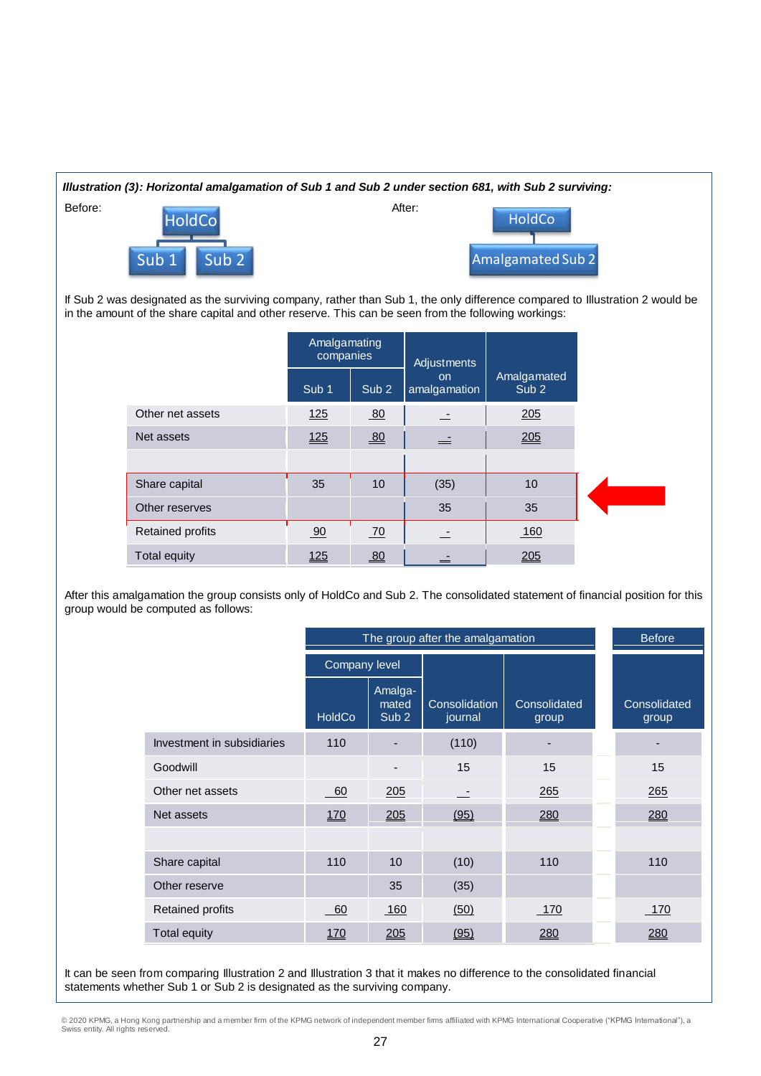

If Sub 2 was designated as the surviving company, rather than Sub 1, the only difference compared to Illustration 2 would be in the amount of the share capital and other reserve. This can be seen from the following workings:

|                         | Amalgamating<br>companies |                  | Adjustments               |                                 |  |
|-------------------------|---------------------------|------------------|---------------------------|---------------------------------|--|
|                         | Sub <sub>1</sub>          | Sub <sub>2</sub> | <b>on</b><br>amalgamation | Amalgamated<br>Sub <sub>2</sub> |  |
| Other net assets        | $125$                     | 80               |                           | 205                             |  |
| Net assets              | <u>125</u>                | 80               | ≟                         | 205                             |  |
|                         |                           |                  |                           |                                 |  |
| Share capital           | 35                        | 10               | (35)                      | 10                              |  |
| Other reserves          |                           |                  | 35                        | 35                              |  |
| <b>Retained profits</b> | 90                        | 70               |                           | 160                             |  |
| Total equity            | 125                       | 80               |                           | 205                             |  |

After this amalgamation the group consists only of HoldCo and Sub 2. The consolidated statement of financial position for this group would be computed as follows:

|                            | The group after the amalgamation |                                      |                          |                       |  | <b>Before</b>         |
|----------------------------|----------------------------------|--------------------------------------|--------------------------|-----------------------|--|-----------------------|
|                            | Company level                    |                                      |                          |                       |  |                       |
|                            | <b>HoldCo</b>                    | Amalga-<br>mated<br>Sub <sub>2</sub> | Consolidation<br>journal | Consolidated<br>group |  | Consolidated<br>group |
| Investment in subsidiaries | 110                              |                                      | (110)                    |                       |  |                       |
| Goodwill                   |                                  |                                      | 15                       | 15                    |  | 15                    |
| Other net assets           | 60                               | 205                                  | - 1                      | 265                   |  | 265                   |
| Net assets                 | <u>170</u>                       | 205                                  | (95)                     | 280                   |  | 280                   |
|                            |                                  |                                      |                          |                       |  |                       |
| Share capital              | 110                              | 10                                   | (10)                     | 110                   |  | 110                   |
| Other reserve              |                                  | 35                                   | (35)                     |                       |  |                       |
| Retained profits           | 60                               | 160                                  | (50)                     | 170                   |  | 170                   |
| Total equity               | <u>170</u>                       | 205                                  | (95)                     | 280                   |  | 280                   |

It can be seen from comparing Illustration 2 and Illustration 3 that it makes no difference to the consolidated financial statements whether Sub 1 or Sub 2 is designated as the surviving company.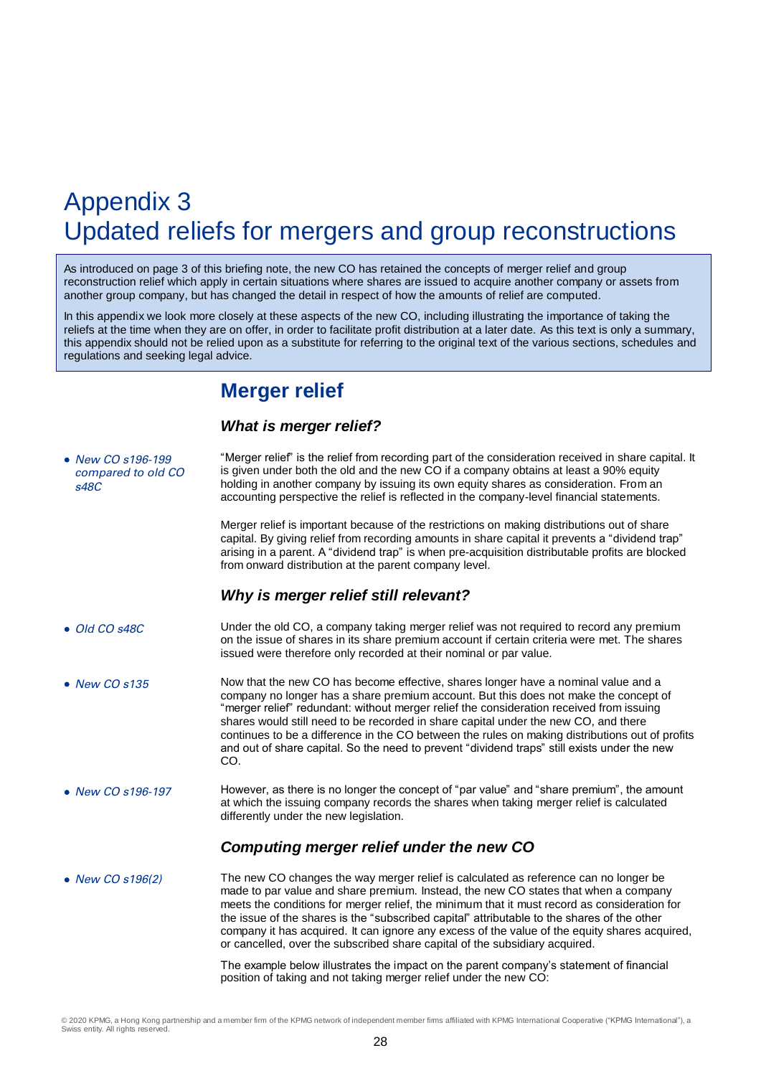## Appendix 3 Updated reliefs for mergers and group reconstructions

As introduced on page 3 of this briefing note, the new CO has retained the concepts of merger relief and group reconstruction relief which apply in certain situations where shares are issued to acquire another company or assets from another group company, but has changed the detail in respect of how the amounts of relief are computed.

In this appendix we look more closely at these aspects of the new CO, including illustrating the importance of taking the reliefs at the time when they are on offer, in order to facilitate profit distribution at a later date. As this text is only a summary, this appendix should not be relied upon as a substitute for referring to the original text of the various sections, schedules and regulations and seeking legal advice.

## **Merger relief**

## *What is merger relief?*

| • New CO s196-199<br>compared to old CO<br>s48C | "Merger relief" is the relief from recording part of the consideration received in share capital. It<br>is given under both the old and the new CO if a company obtains at least a 90% equity<br>holding in another company by issuing its own equity shares as consideration. From an<br>accounting perspective the relief is reflected in the company-level financial statements.                                                                                                                                                                                     |
|-------------------------------------------------|-------------------------------------------------------------------------------------------------------------------------------------------------------------------------------------------------------------------------------------------------------------------------------------------------------------------------------------------------------------------------------------------------------------------------------------------------------------------------------------------------------------------------------------------------------------------------|
|                                                 | Merger relief is important because of the restrictions on making distributions out of share<br>capital. By giving relief from recording amounts in share capital it prevents a "dividend trap"<br>arising in a parent. A "dividend trap" is when pre-acquisition distributable profits are blocked<br>from onward distribution at the parent company level.                                                                                                                                                                                                             |
|                                                 | Why is merger relief still relevant?                                                                                                                                                                                                                                                                                                                                                                                                                                                                                                                                    |
| • Old CO s48C                                   | Under the old CO, a company taking merger relief was not required to record any premium<br>on the issue of shares in its share premium account if certain criteria were met. The shares<br>issued were therefore only recorded at their nominal or par value.                                                                                                                                                                                                                                                                                                           |
| $\bullet$ New CO s135                           | Now that the new CO has become effective, shares longer have a nominal value and a<br>company no longer has a share premium account. But this does not make the concept of<br>"merger relief" redundant: without merger relief the consideration received from issuing<br>shares would still need to be recorded in share capital under the new CO, and there<br>continues to be a difference in the CO between the rules on making distributions out of profits<br>and out of share capital. So the need to prevent "dividend traps" still exists under the new<br>CO. |
| • New CO s196-197                               | However, as there is no longer the concept of "par value" and "share premium", the amount<br>at which the issuing company records the shares when taking merger relief is calculated<br>differently under the new legislation.                                                                                                                                                                                                                                                                                                                                          |
|                                                 | Computing merger relief under the new CO                                                                                                                                                                                                                                                                                                                                                                                                                                                                                                                                |
| • New CO s196(2)                                | The new CO changes the way merger relief is calculated as reference can no longer be<br>made to par value and share premium. Instead, the new CO states that when a company<br>meets the conditions for merger relief, the minimum that it must record as consideration for<br>the issue of the shares is the "subscribed capital" attributable to the shares of the other<br>company it has acquired. It can ignore any excess of the value of the equity shares acquired,<br>or cancelled, over the subscribed share capital of the subsidiary acquired.              |
|                                                 | The example below illustrates the impact on the parent company's statement of financial<br>position of taking and not taking merger relief under the new CO:                                                                                                                                                                                                                                                                                                                                                                                                            |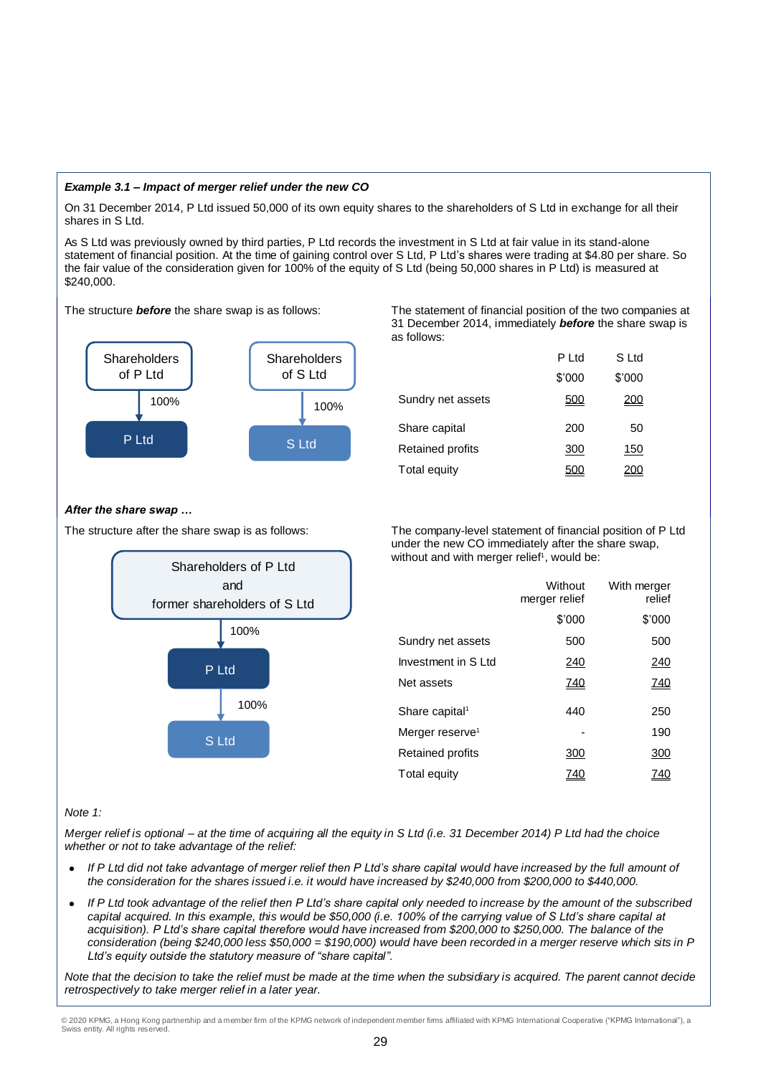## *Example 3.1 – Impact of merger relief under the new CO*

On 31 December 2014, P Ltd issued 50,000 of its own equity shares to the shareholders of S Ltd in exchange for all their shares in S Ltd.

As S Ltd was previously owned by third parties, P Ltd records the investment in S Ltd at fair value in its stand-alone statement of financial position. At the time of gaining control over S Ltd, P Ltd's shares were trading at \$4.80 per share. So the fair value of the consideration given for 100% of the equity of S Ltd (being 50,000 shares in P Ltd) is measured at \$240,000.



The structure *before* the share swap is as follows: The statement of financial position of the two companies at 31 December 2014, immediately *before* the share swap is as follows:

|                     | P Ltd  | S Ltd  |
|---------------------|--------|--------|
|                     | \$'000 | \$'000 |
| Sundry net assets   | 500    |        |
| Share capital       | 200    | 50     |
| Retained profits    | 300    | 150    |
| <b>Total equity</b> |        |        |

## *After the share swap …*



The structure after the share swap is as follows: The company-level statement of financial position of P Ltd under the new CO immediately after the share swap, without and with merger relief<sup>1</sup>, would be:

|                             | Without<br>merger relief | With merger<br>relief |
|-----------------------------|--------------------------|-----------------------|
|                             | \$'000                   | \$'000                |
| Sundry net assets           | 500                      | 500                   |
| Investment in S Ltd         | 240                      | 240                   |
| Net assets                  | <u>740</u>               | <u>740</u>            |
| Share capital <sup>1</sup>  | 440                      | 250                   |
| Merger reserve <sup>1</sup> |                          | 190                   |
| <b>Retained profits</b>     | 300                      | 300                   |
| Total equity                |                          |                       |

#### *Note 1:*

*Merger relief is optional – at the time of acquiring all the equity in S Ltd (i.e. 31 December 2014) P Ltd had the choice whether or not to take advantage of the relief:*

- *If P Ltd did not take advantage of merger relief then P Ltd's share capital would have increased by the full amount of the consideration for the shares issued i.e. it would have increased by \$240,000 from \$200,000 to \$440,000.*
- *If P Ltd took advantage of the relief then P Ltd's share capital only needed to increase by the amount of the subscribed capital acquired. In this example, this would be \$50,000 (i.e. 100% of the carrying value of S Ltd's share capital at acquisition). P Ltd's share capital therefore would have increased from \$200,000 to \$250,000. The balance of the consideration (being \$240,000 less \$50,000 = \$190,000) would have been recorded in a merger reserve which sits in P Ltd's equity outside the statutory measure of "share capital".*

*Note that the decision to take the relief must be made at the time when the subsidiary is acquired. The parent cannot decide retrospectively to take merger relief in a later year.*

<sup>© 2020</sup> KPMG, a Hong Kong partnership and a member firm of the KPMG network of independent member firms affiliated with KPMG International Cooperative ("KPMG International"), a Swiss entity. All rights reserved.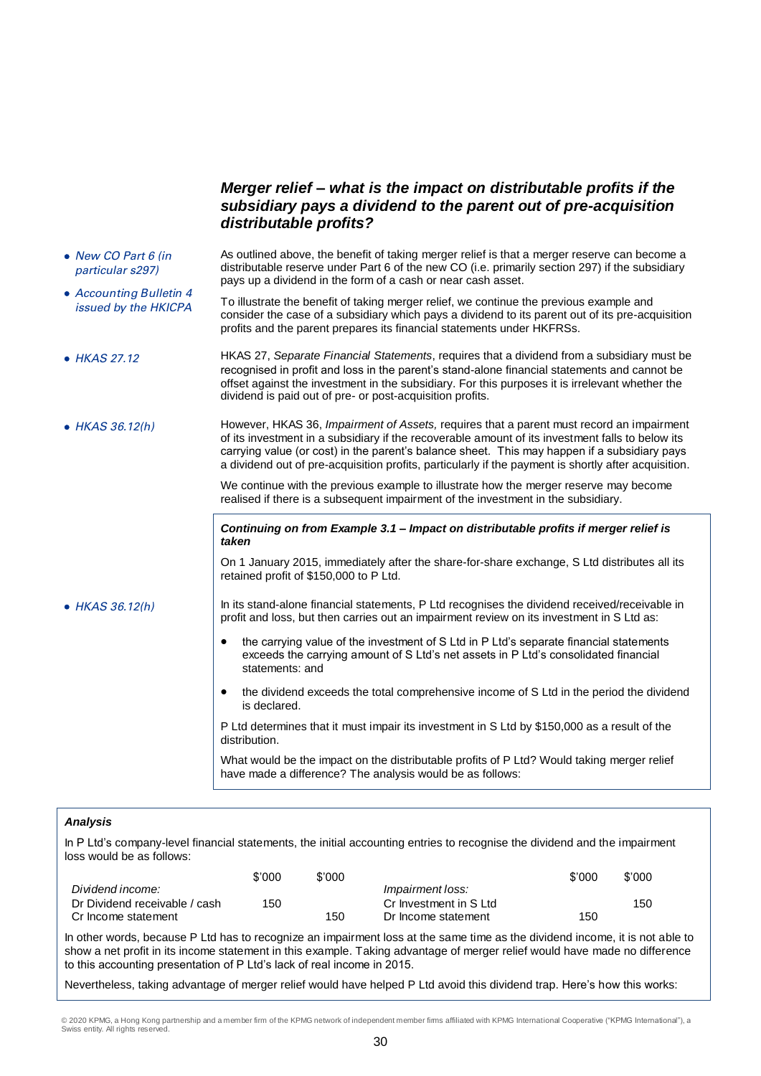## *Merger relief – what is the impact on distributable profits if the subsidiary pays a dividend to the parent out of pre-acquisition distributable profits?*

- New CO Part 6 (in particular s297) Accounting Bulletin 4 issued by the HKICPA As outlined above, the benefit of taking merger relief is that a merger reserve can become a distributable reserve under Part 6 of the new CO (i.e. primarily section 297) if the subsidiary pays up a dividend in the form of a cash or near cash asset. To illustrate the benefit of taking merger relief, we continue the previous example and consider the case of a subsidiary which pays a dividend to its parent out of its pre-acquisition profits and the parent prepares its financial statements under HKFRSs. HKAS 27.12 HKAS 27, *Separate Financial Statements*, requires that a dividend from a subsidiary must be
- recognised in profit and loss in the parent's stand-alone financial statements and cannot be offset against the investment in the subsidiary. For this purposes it is irrelevant whether the dividend is paid out of pre- or post-acquisition profits.
- HKAS 36.12(h) However, HKAS 36, *Impairment of Assets,* requires that a parent must record an impairment of its investment in a subsidiary if the recoverable amount of its investment falls to below its carrying value (or cost) in the parent's balance sheet. This may happen if a subsidiary pays a dividend out of pre-acquisition profits, particularly if the payment is shortly after acquisition.

We continue with the previous example to illustrate how the merger reserve may become realised if there is a subsequent impairment of the investment in the subsidiary.

#### *Continuing on from Example 3.1 – Impact on distributable profits if merger relief is taken*

On 1 January 2015, immediately after the share-for-share exchange, S Ltd distributes all its retained profit of \$150,000 to P Ltd.

 $\bullet$  HKAS 36.12(h) In its stand-alone financial statements, P Ltd recognises the dividend received/receivable in profit and loss, but then carries out an impairment review on its investment in S Ltd as:

- the carrying value of the investment of S Ltd in P Ltd's separate financial statements exceeds the carrying amount of S Ltd's net assets in P Ltd's consolidated financial statements: and
- the dividend exceeds the total comprehensive income of S Ltd in the period the dividend is declared.

P Ltd determines that it must impair its investment in S Ltd by \$150,000 as a result of the distribution.

What would be the impact on the distributable profits of P Ltd? Would taking merger relief have made a difference? The analysis would be as follows:

## *Analysis*

In P Ltd's company-level financial statements, the initial accounting entries to recognise the dividend and the impairment loss would be as follows:

|                               | \$'000 | \$'000 |                         | \$'000 | \$'000 |
|-------------------------------|--------|--------|-------------------------|--------|--------|
| Dividend income:              |        |        | <i>Impairment loss:</i> |        |        |
| Dr Dividend receivable / cash | 150    |        | Cr Investment in S Ltd  |        | 15C    |
| Cr Income statement           |        | 150    | Dr Income statement     | 150    |        |

In other words, because P Ltd has to recognize an impairment loss at the same time as the dividend income, it is not able to show a net profit in its income statement in this example. Taking advantage of merger relief would have made no difference to this accounting presentation of P Ltd's lack of real income in 2015.

Nevertheless, taking advantage of merger relief would have helped P Ltd avoid this dividend trap. Here's how this works:

© 2020 KPMG, a Hong Kong partnership and a member firm of the KPMG network of independent member firms affiliated with KPMG International Cooperative ("KPMG International"), a Swiss entity. All rights reserved.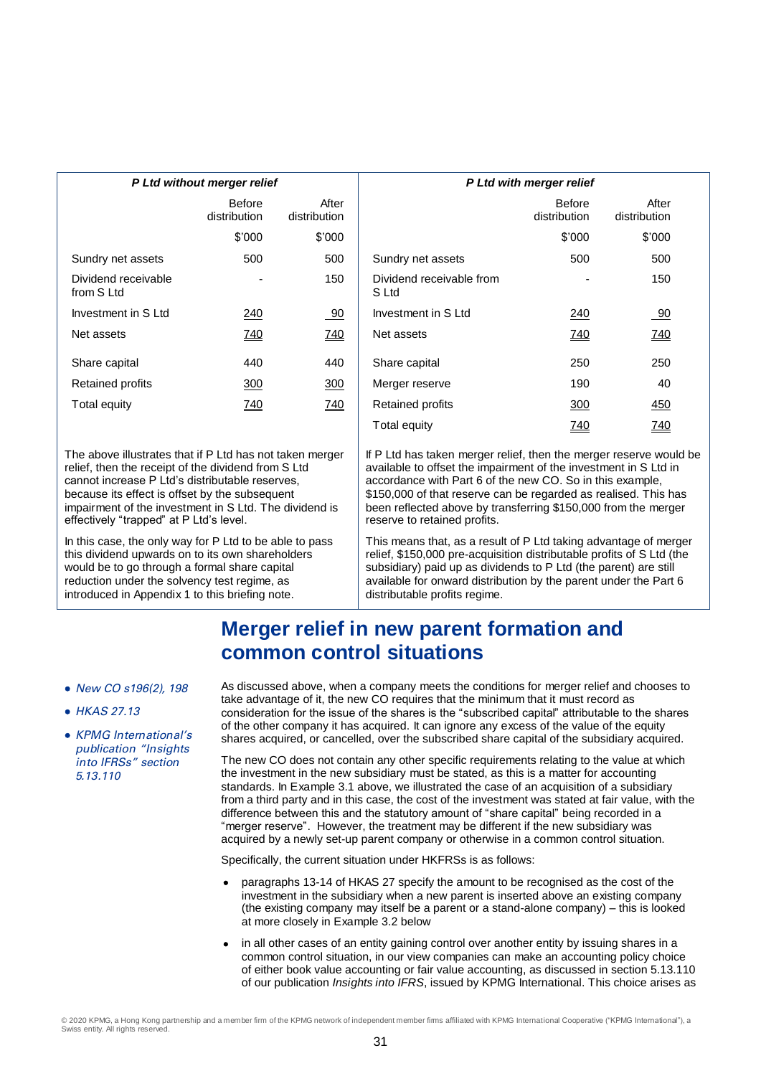|                                   | P Ltd without merger relief   |                       | P Ltd with merger relief          |                               |
|-----------------------------------|-------------------------------|-----------------------|-----------------------------------|-------------------------------|
|                                   | <b>Before</b><br>distribution | After<br>distribution |                                   | <b>Before</b><br>distribution |
|                                   | \$'000                        | \$'000                |                                   | \$'000                        |
| Sundry net assets                 | 500                           | 500                   | Sundry net assets                 | 500                           |
| Dividend receivable<br>from S Ltd |                               | 150                   | Dividend receivable from<br>S Ltd |                               |
| Investment in S Ltd               | 240                           | 90                    | Investment in S Ltd               | 240                           |
| Net assets                        | <u>740</u>                    | <u>740</u>            | Net assets                        | <u>740</u>                    |
| Share capital                     | 440                           | 440                   | Share capital                     | 250                           |
| Retained profits                  | 300                           | 300                   | Merger reserve                    | 190                           |
| Total equity                      | 740                           | <u>740</u>            | <b>Retained profits</b>           | 300                           |
|                                   |                               |                       |                                   |                               |

The above illustrates that if P Ltd has not taken merger relief, then the receipt of the dividend from S Ltd cannot increase P Ltd's distributable reserves, because its effect is offset by the subsequent impairment of the investment in S Ltd. The dividend is effectively "trapped" at P Ltd's level.

In this case, the only way for P Ltd to be able to pass this dividend upwards on to its own shareholders would be to go through a formal share capital reduction under the solvency test regime, as introduced in Appendix 1 to this briefing note.

| P Ltd with merger relief          |                        |                       |  |  |  |  |
|-----------------------------------|------------------------|-----------------------|--|--|--|--|
|                                   | Before<br>distribution | After<br>distribution |  |  |  |  |
|                                   | \$'000                 | \$'000                |  |  |  |  |
| Sundry net assets                 | 500                    | 500                   |  |  |  |  |
| Dividend receivable from<br>S Ltd |                        | 150                   |  |  |  |  |
| Investment in S Ltd               | 240                    | -90                   |  |  |  |  |
| Net assets                        | <u>740</u>             | <u>740</u>            |  |  |  |  |
| Share capital                     | 250                    | 250                   |  |  |  |  |
| Merger reserve                    | 190                    | 40                    |  |  |  |  |
| Retained profits                  | <u>300</u>             | 450                   |  |  |  |  |
| Total equity                      | <u>740</u>             | <u>740</u>            |  |  |  |  |

If P Ltd has taken merger relief, then the merger reserve would be available to offset the impairment of the investment in S Ltd in accordance with Part 6 of the new CO. So in this example, \$150,000 of that reserve can be regarded as realised. This has been reflected above by transferring \$150,000 from the merger reserve to retained profits.

This means that, as a result of P Ltd taking advantage of merger relief, \$150,000 pre-acquisition distributable profits of S Ltd (the subsidiary) paid up as dividends to P Ltd (the parent) are still available for onward distribution by the parent under the Part 6 distributable profits regime.

## **Merger relief in new parent formation and common control situations**

- New CO s196(2), 198
- HKAS 27.13
- KPMG International's publication "Insights into IFRSs" section 5.13.110

As discussed above, when a company meets the conditions for merger relief and chooses to take advantage of it, the new CO requires that the minimum that it must record as consideration for the issue of the shares is the "subscribed capital" attributable to the shares of the other company it has acquired. It can ignore any excess of the value of the equity shares acquired, or cancelled, over the subscribed share capital of the subsidiary acquired.

The new CO does not contain any other specific requirements relating to the value at which the investment in the new subsidiary must be stated, as this is a matter for accounting standards. In Example 3.1 above, we illustrated the case of an acquisition of a subsidiary from a third party and in this case, the cost of the investment was stated at fair value, with the difference between this and the statutory amount of "share capital" being recorded in a "merger reserve". However, the treatment may be different if the new subsidiary was acquired by a newly set-up parent company or otherwise in a common control situation.

Specifically, the current situation under HKFRSs is as follows:

- paragraphs 13-14 of HKAS 27 specify the amount to be recognised as the cost of the investment in the subsidiary when a new parent is inserted above an existing company (the existing company may itself be a parent or a stand-alone company) – this is looked at more closely in Example 3.2 below
- in all other cases of an entity gaining control over another entity by issuing shares in a common control situation, in our view companies can make an accounting policy choice of either book value accounting or fair value accounting, as discussed in section 5.13.110 of our publication *Insights into IFRS*, issued by KPMG International. This choice arises as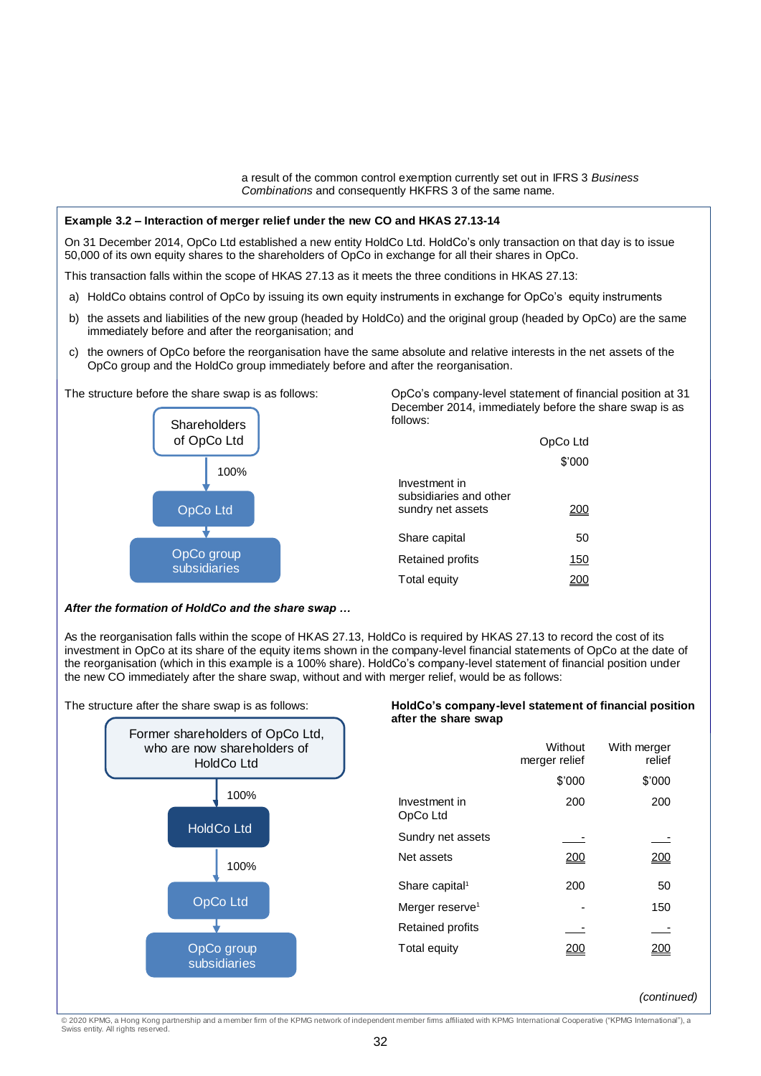a result of the common control exemption currently set out in IFRS 3 *Business Combinations* and consequently HKFRS 3 of the same name.

#### **Example 3.2 – Interaction of merger relief under the new CO and HKAS 27.13-14**

On 31 December 2014, OpCo Ltd established a new entity HoldCo Ltd. HoldCo's only transaction on that day is to issue 50,000 of its own equity shares to the shareholders of OpCo in exchange for all their shares in OpCo.

This transaction falls within the scope of HKAS 27.13 as it meets the three conditions in HKAS 27.13:

- a) HoldCo obtains control of OpCo by issuing its own equity instruments in exchange for OpCo's equity instruments
- b) the assets and liabilities of the new group (headed by HoldCo) and the original group (headed by OpCo) are the same immediately before and after the reorganisation; and
- c) the owners of OpCo before the reorganisation have the same absolute and relative interests in the net assets of the OpCo group and the HoldCo group immediately before and after the reorganisation.



The structure before the share swap is as follows: OpCo's company-level statement of financial position at 31 December 2014, immediately before the share swap is as follows:

|                                         | OpCo Ltd |
|-----------------------------------------|----------|
|                                         | \$'000   |
| Investment in<br>subsidiaries and other |          |
| sundry net assets                       |          |
| Share capital                           | 50       |
| <b>Retained profits</b>                 | 150      |
| Total equity                            |          |

## *After the formation of HoldCo and the share swap …*

As the reorganisation falls within the scope of HKAS 27.13, HoldCo is required by HKAS 27.13 to record the cost of its investment in OpCo at its share of the equity items shown in the company-level financial statements of OpCo at the date of the reorganisation (which in this example is a 100% share). HoldCo's company-level statement of financial position under the new CO immediately after the share swap, without and with merger relief, would be as follows:



## The structure after the share swap is as follows: **HoldCo's company-level statement of financial position after the share swap**

|                             | Without<br>merger relief | With merger<br>relief |
|-----------------------------|--------------------------|-----------------------|
|                             | \$'000                   | \$'000                |
| Investment in<br>OpCo Ltd   | 200                      | 200                   |
| Sundry net assets           |                          |                       |
| Net assets                  | ンいい                      |                       |
| Share capital <sup>1</sup>  | 200                      | 50                    |
| Merger reserve <sup>1</sup> |                          | 150                   |
| <b>Retained profits</b>     |                          |                       |
| Total equity                |                          |                       |

*(continued)*

© 2020 KPMG, a Hong Kong partnership and a member firm of the KPMG network of independent member firms affiliated with KPMG International Cooperative ("KPMG International"), a<br>Swiss entity. All rights reserved.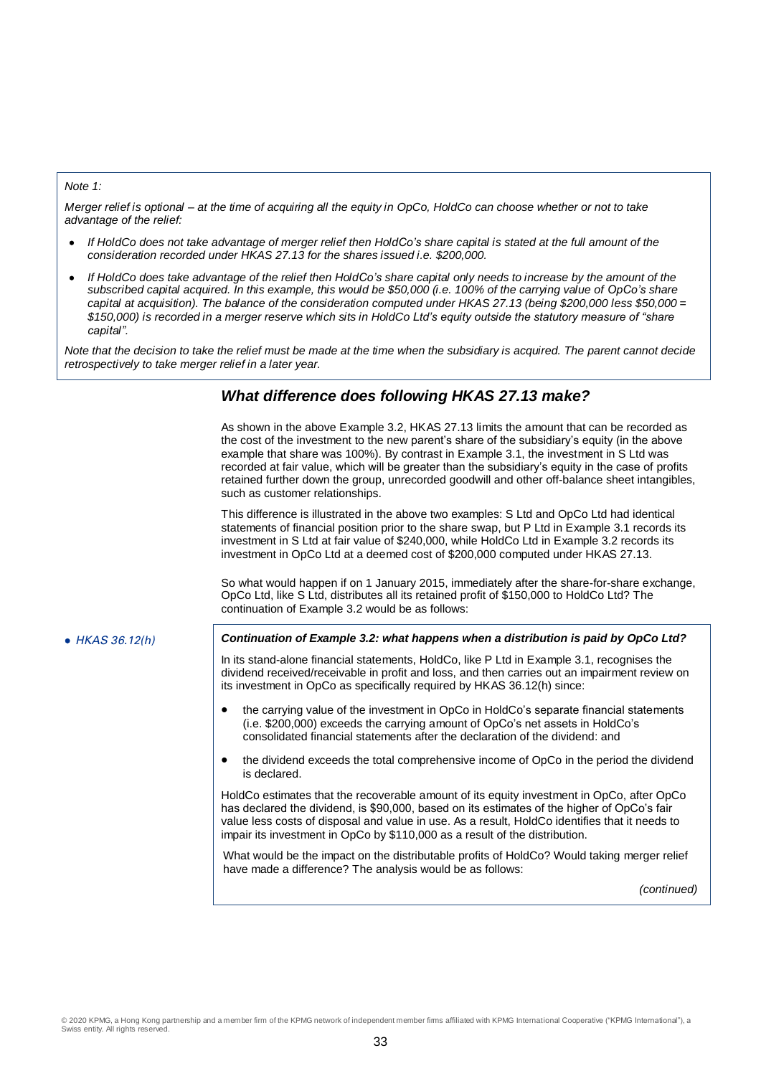#### *Note 1:*

*Merger relief is optional – at the time of acquiring all the equity in OpCo, HoldCo can choose whether or not to take advantage of the relief:*

- *If HoldCo does not take advantage of merger relief then HoldCo's share capital is stated at the full amount of the consideration recorded under HKAS 27.13 for the shares issued i.e. \$200,000.*
- *If HoldCo does take advantage of the relief then HoldCo's share capital only needs to increase by the amount of the subscribed capital acquired. In this example, this would be \$50,000 (i.e. 100% of the carrying value of OpCo's share capital at acquisition). The balance of the consideration computed under HKAS 27.13 (being \$200,000 less \$50,000 = \$150,000) is recorded in a merger reserve which sits in HoldCo Ltd's equity outside the statutory measure of "share capital".*

*Note that the decision to take the relief must be made at the time when the subsidiary is acquired. The parent cannot decide retrospectively to take merger relief in a later year.*

## *What difference does following HKAS 27.13 make?*

As shown in the above Example 3.2, HKAS 27.13 limits the amount that can be recorded as the cost of the investment to the new parent's share of the subsidiary's equity (in the above example that share was 100%). By contrast in Example 3.1, the investment in S Ltd was recorded at fair value, which will be greater than the subsidiary's equity in the case of profits retained further down the group, unrecorded goodwill and other off-balance sheet intangibles, such as customer relationships.

This difference is illustrated in the above two examples: S Ltd and OpCo Ltd had identical statements of financial position prior to the share swap, but P Ltd in Example 3.1 records its investment in S Ltd at fair value of \$240,000, while HoldCo Ltd in Example 3.2 records its investment in OpCo Ltd at a deemed cost of \$200,000 computed under HKAS 27.13.

So what would happen if on 1 January 2015, immediately after the share-for-share exchange, OpCo Ltd, like S Ltd, distributes all its retained profit of \$150,000 to HoldCo Ltd? The continuation of Example 3.2 would be as follows:

## HKAS 36.12(h) *Continuation of Example 3.2: what happens when a distribution is paid by OpCo Ltd?*

In its stand-alone financial statements, HoldCo, like P Ltd in Example 3.1, recognises the dividend received/receivable in profit and loss, and then carries out an impairment review on its investment in OpCo as specifically required by HKAS 36.12(h) since:

- the carrying value of the investment in OpCo in HoldCo's separate financial statements (i.e. \$200,000) exceeds the carrying amount of OpCo's net assets in HoldCo's consolidated financial statements after the declaration of the dividend: and
- the dividend exceeds the total comprehensive income of OpCo in the period the dividend is declared.

HoldCo estimates that the recoverable amount of its equity investment in OpCo, after OpCo has declared the dividend, is \$90,000, based on its estimates of the higher of OpCo's fair value less costs of disposal and value in use. As a result, HoldCo identifies that it needs to impair its investment in OpCo by \$110,000 as a result of the distribution.

What would be the impact on the distributable profits of HoldCo? Would taking merger relief have made a difference? The analysis would be as follows:

*(continued)*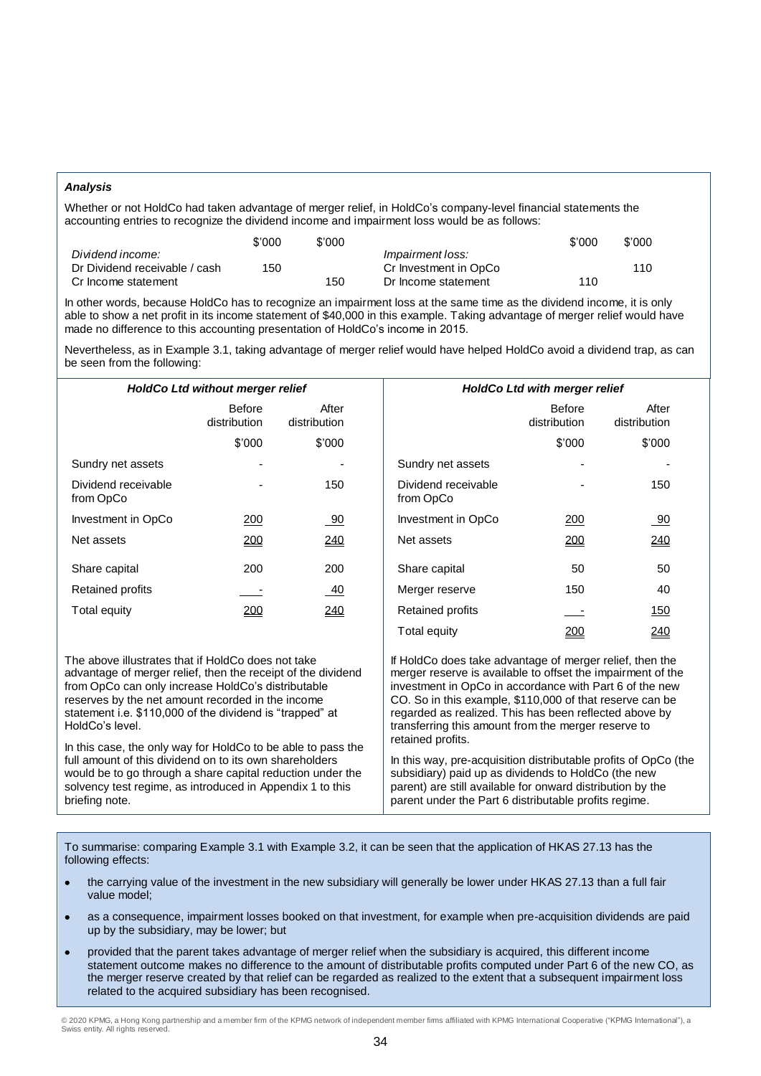#### *Analysis*

Whether or not HoldCo had taken advantage of merger relief, in HoldCo's company-level financial statements the accounting entries to recognize the dividend income and impairment loss would be as follows:

|                               | \$'000 | \$'000 |                         | \$'000 | \$'000 |
|-------------------------------|--------|--------|-------------------------|--------|--------|
| Dividend income:              |        |        | <i>Impairment loss:</i> |        |        |
| Dr Dividend receivable / cash | 150    |        | Cr Investment in OpCo   |        | 110    |
| Cr Income statement           |        | 150    | Dr Income statement     | 110    |        |

In other words, because HoldCo has to recognize an impairment loss at the same time as the dividend income, it is only able to show a net profit in its income statement of \$40,000 in this example. Taking advantage of merger relief would have made no difference to this accounting presentation of HoldCo's income in 2015.

Nevertheless, as in Example 3.1, taking advantage of merger relief would have helped HoldCo avoid a dividend trap, as can be seen from the following:

|                                                                                                                                                                                                                                                                                           | <b>HoldCo Ltd without merger relief</b> |                       |                                                                                                                                                                                                                                                                                                          | <b>HoldCo Ltd with merger relief</b> |                       |  |  |
|-------------------------------------------------------------------------------------------------------------------------------------------------------------------------------------------------------------------------------------------------------------------------------------------|-----------------------------------------|-----------------------|----------------------------------------------------------------------------------------------------------------------------------------------------------------------------------------------------------------------------------------------------------------------------------------------------------|--------------------------------------|-----------------------|--|--|
|                                                                                                                                                                                                                                                                                           | <b>Before</b><br>distribution           | After<br>distribution |                                                                                                                                                                                                                                                                                                          | <b>Before</b><br>distribution        | After<br>distribution |  |  |
|                                                                                                                                                                                                                                                                                           | \$'000                                  | \$'000                |                                                                                                                                                                                                                                                                                                          | \$'000                               | \$'000                |  |  |
| Sundry net assets                                                                                                                                                                                                                                                                         |                                         |                       | Sundry net assets                                                                                                                                                                                                                                                                                        |                                      |                       |  |  |
| Dividend receivable<br>from OpCo                                                                                                                                                                                                                                                          |                                         | 150                   | Dividend receivable<br>from OpCo                                                                                                                                                                                                                                                                         |                                      | 150                   |  |  |
| Investment in OpCo                                                                                                                                                                                                                                                                        | <u> 200</u>                             | 90                    | Investment in OpCo                                                                                                                                                                                                                                                                                       | <u> 200</u>                          | 90                    |  |  |
| Net assets                                                                                                                                                                                                                                                                                | 200                                     | <u>240</u>            | Net assets                                                                                                                                                                                                                                                                                               | <u> 200</u>                          | <u>240</u>            |  |  |
| Share capital                                                                                                                                                                                                                                                                             | 200                                     | 200                   | Share capital                                                                                                                                                                                                                                                                                            | 50                                   | 50                    |  |  |
| Retained profits                                                                                                                                                                                                                                                                          |                                         | $-40$                 | Merger reserve                                                                                                                                                                                                                                                                                           | 150                                  | 40                    |  |  |
| Total equity                                                                                                                                                                                                                                                                              | <u> 200</u>                             | 240                   | Retained profits                                                                                                                                                                                                                                                                                         |                                      | <u>150</u>            |  |  |
|                                                                                                                                                                                                                                                                                           |                                         |                       | Total equity                                                                                                                                                                                                                                                                                             | 200                                  | 240                   |  |  |
| The above illustrates that if HoldCo does not take<br>advantage of merger relief, then the receipt of the dividend<br>from OpCo can only increase HoldCo's distributable<br>reserves by the net amount recorded in the income<br>statement i.e. \$110,000 of the dividend is "trapped" at |                                         |                       | If HoldCo does take advantage of merger relief, then the<br>merger reserve is available to offset the impairment of the<br>investment in OpCo in accordance with Part 6 of the new<br>CO. So in this example, \$110,000 of that reserve can be<br>regarded as realized. This has been reflected above by |                                      |                       |  |  |

retained profits.

HoldCo's level. In this case, the only way for HoldCo to be able to pass the full amount of this dividend on to its own shareholders would be to go through a share capital reduction under the solvency test regime, as introduced in Appendix 1 to this briefing note.

In this way, pre-acquisition distributable profits of OpCo (the subsidiary) paid up as dividends to HoldCo (the new parent) are still available for onward distribution by the parent under the Part 6 distributable profits regime.

transferring this amount from the merger reserve to

To summarise: comparing Example 3.1 with Example 3.2, it can be seen that the application of HKAS 27.13 has the following effects:

- the carrying value of the investment in the new subsidiary will generally be lower under HKAS 27.13 than a full fair value model;
- as a consequence, impairment losses booked on that investment, for example when pre-acquisition dividends are paid up by the subsidiary, may be lower; but
- provided that the parent takes advantage of merger relief when the subsidiary is acquired, this different income statement outcome makes no difference to the amount of distributable profits computed under Part 6 of the new CO, as the merger reserve created by that relief can be regarded as realized to the extent that a subsequent impairment loss related to the acquired subsidiary has been recognised.

© 2020 KPMG, a Hong Kong partnership and a member firm of the KPMG network of independent member firms affiliated with KPMG International Cooperative ("KPMG International"), a Swiss entity. All rights reserved.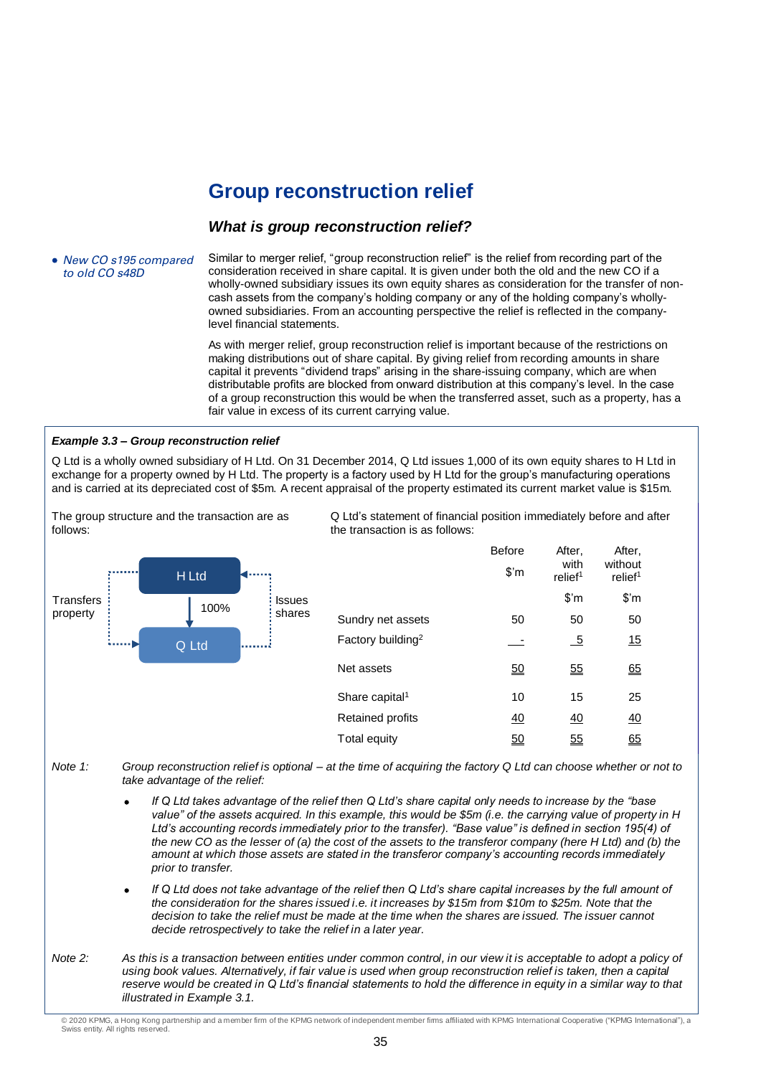## **Group reconstruction relief**

## *What is group reconstruction relief?*

• New CO s195 compared to old CO s48D

follows:

Similar to merger relief, "group reconstruction relief" is the relief from recording part of the consideration received in share capital. It is given under both the old and the new CO if a wholly-owned subsidiary issues its own equity shares as consideration for the transfer of noncash assets from the company's holding company or any of the holding company's whollyowned subsidiaries. From an accounting perspective the relief is reflected in the companylevel financial statements.

As with merger relief, group reconstruction relief is important because of the restrictions on making distributions out of share capital. By giving relief from recording amounts in share capital it prevents "dividend traps" arising in the share-issuing company, which are when distributable profits are blocked from onward distribution at this company's level. In the case of a group reconstruction this would be when the transferred asset, such as a property, has a fair value in excess of its current carrying value.

## *Example 3.3 – Group reconstruction relief*

Q Ltd is a wholly owned subsidiary of H Ltd. On 31 December 2014, Q Ltd issues 1,000 of its own equity shares to H Ltd in exchange for a property owned by H Ltd. The property is a factory used by H Ltd for the group's manufacturing operations and is carried at its depreciated cost of \$5m. A recent appraisal of the property estimated its current market value is \$15m.



The group structure and the transaction are as

Q Ltd's statement of financial position immediately before and after the transaction is as follows:

|                               | <b>Before</b><br>$\mathsf{\$}'$ m | After.<br>with<br>relief <sup>1</sup> | After.<br>without<br>relief <sup>1</sup> |
|-------------------------------|-----------------------------------|---------------------------------------|------------------------------------------|
|                               |                                   | $\mathsf{S}'\mathsf{m}$               | \$'m                                     |
| Sundry net assets             | 50                                | 50                                    | 50                                       |
| Factory building <sup>2</sup> |                                   | <u>_5</u>                             | 15                                       |
| Net assets                    | <u>50</u>                         | 55                                    | 65                                       |
| Share capital <sup>1</sup>    | 10                                | 15                                    | 25                                       |
| Retained profits              | <u>40</u>                         | <u>40</u>                             | <u>40</u>                                |
| Total equity                  | 50                                | <u>55</u>                             | 65                                       |

- *Note 1: Group reconstruction relief is optional – at the time of acquiring the factory Q Ltd can choose whether or not to take advantage of the relief:*
	- *If Q Ltd takes advantage of the relief then Q Ltd's share capital only needs to increase by the "base value" of the assets acquired. In this example, this would be \$5m (i.e. the carrying value of property in H Ltd's accounting records immediately prior to the transfer). "Base value" is defined in section 195(4) of the new CO as the lesser of (a) the cost of the assets to the transferor company (here H Ltd) and (b) the amount at which those assets are stated in the transferor company's accounting records immediately prior to transfer.*
	- *If Q Ltd does not take advantage of the relief then Q Ltd's share capital increases by the full amount of the consideration for the shares issued i.e. it increases by \$15m from \$10m to \$25m. Note that the decision to take the relief must be made at the time when the shares are issued. The issuer cannot decide retrospectively to take the relief in a later year.*
- *Note 2: As this is a transaction between entities under common control, in our view it is acceptable to adopt a policy of using book values. Alternatively, if fair value is used when group reconstruction relief is taken, then a capital reserve would be created in Q Ltd's financial statements to hold the difference in equity in a similar way to that illustrated in Example 3.1.*